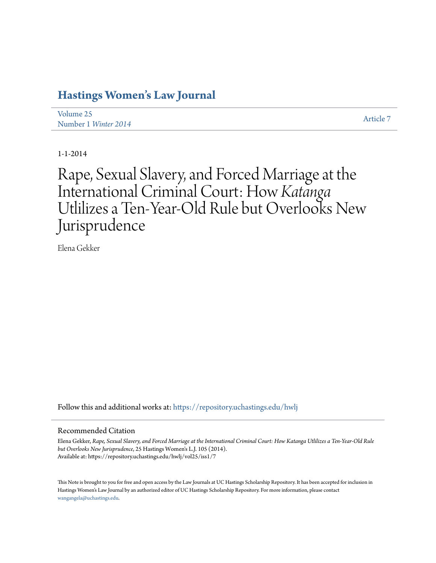# **[Hastings Women's Law Journal](https://repository.uchastings.edu/hwlj?utm_source=repository.uchastings.edu%2Fhwlj%2Fvol25%2Fiss1%2F7&utm_medium=PDF&utm_campaign=PDFCoverPages)**

| Volume 25            | Article 7 |
|----------------------|-----------|
| Number 1 Winter 2014 |           |

1-1-2014

Rape, Sexual Slavery, and Forced Marriage at the International Criminal Court: How *Katanga* Utlilizes a Ten-Year-Old Rule but Overlooks New Jurisprudence

Elena Gekker

Follow this and additional works at: [https://repository.uchastings.edu/hwlj](https://repository.uchastings.edu/hwlj?utm_source=repository.uchastings.edu%2Fhwlj%2Fvol25%2Fiss1%2F7&utm_medium=PDF&utm_campaign=PDFCoverPages)

## Recommended Citation

Elena Gekker, *Rape, Sexual Slavery, and Forced Marriage at the International Criminal Court: How Katanga Utlilizes a Ten-Year-Old Rule but Overlooks New Jurisprudence*, 25 Hastings Women's L.J. 105 (2014). Available at: https://repository.uchastings.edu/hwlj/vol25/iss1/7

This Note is brought to you for free and open access by the Law Journals at UC Hastings Scholarship Repository. It has been accepted for inclusion in Hastings Women's Law Journal by an authorized editor of UC Hastings Scholarship Repository. For more information, please contact [wangangela@uchastings.edu](mailto:wangangela@uchastings.edu).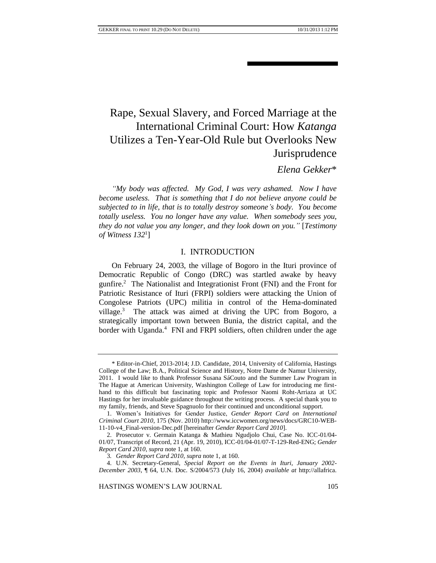# Rape, Sexual Slavery, and Forced Marriage at the International Criminal Court: How *Katanga* Utilizes a Ten-Year-Old Rule but Overlooks New Jurisprudence

# *Elena Gekker*\*

*"My body was affected. My God, I was very ashamed. Now I have become useless. That is something that I do not believe anyone could be subjected to in life, that is to totally destroy someone's body. You become totally useless. You no longer have any value. When somebody sees you, they do not value you any longer, and they look down on you."* [*Testimony of Witness 132*<sup>1</sup> ]

## I. INTRODUCTION

On February 24, 2003, the village of Bogoro in the Ituri province of Democratic Republic of Congo (DRC) was startled awake by heavy gunfire.<sup>2</sup> The Nationalist and Integrationist Front (FNI) and the Front for Patriotic Resistance of Ituri (FRPI) soldiers were attacking the Union of Congolese Patriots (UPC) militia in control of the Hema-dominated village.<sup>3</sup> The attack was aimed at driving the UPC from Bogoro, a strategically important town between Bunia, the district capital, and the border with Uganda.<sup>4</sup> FNI and FRPI soldiers, often children under the age

<sup>\*</sup> Editor-in-Chief, 2013-2014; J.D. Candidate, 2014, University of California, Hastings College of the Law; B.A., Political Science and History, Notre Dame de Namur University, 2011. I would like to thank Professor Susana SáCouto and the Summer Law Program in The Hague at American University, Washington College of Law for introducing me firsthand to this difficult but fascinating topic and Professor Naomi Roht-Arriaza at UC Hastings for her invaluable guidance throughout the writing process. A special thank you to my family, friends, and Steve Spagnuolo for their continued and unconditional support.

<sup>1.</sup> Women's Initiatives for Gender Justice, *Gender Report Card on International Criminal Court 2010*, 175 (Nov. 2010) http://www.iccwomen.org/news/docs/GRC10-WEB-11-10-v4\_Final-version-Dec.pdf [hereinafter *Gender Report Card 2010*].

<sup>2.</sup> Prosecutor v. Germain Katanga & Mathieu Ngudjolo Chui, Case No. ICC-01/04- 01/07, Transcript of Record, 21 (Apr. 19, 2010), ICC-01/04-01/07-T-129-Red-ENG; *Gender Report Card 2010*, *supra* note 1, at 160.

<sup>3</sup>*. Gender Report Card 2010*, *supra* note 1, at 160.

<sup>4.</sup> U.N. Secretary-General, *Special Report on the Events in Ituri, January 2002- December 2003*, ¶ 64, U.N. Doc. S/2004/573 (July 16, 2004) *available at* http://allafrica.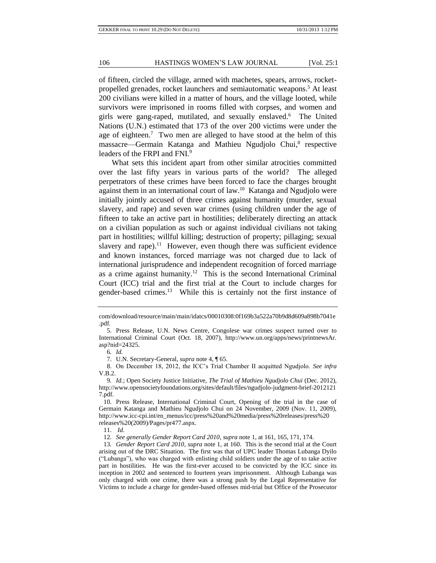of fifteen, circled the village, armed with machetes, spears, arrows, rocketpropelled grenades, rocket launchers and semiautomatic weapons.<sup>5</sup> At least 200 civilians were killed in a matter of hours, and the village looted, while survivors were imprisoned in rooms filled with corpses, and women and girls were gang-raped, mutilated, and sexually enslaved.<sup>6</sup> The United Nations (U.N.) estimated that 173 of the over 200 victims were under the age of eighteen.<sup>7</sup> Two men are alleged to have stood at the helm of this massacre-Germain Katanga and Mathieu Ngudjolo Chui,<sup>8</sup> respective leaders of the FRPI and FNI.<sup>9</sup>

What sets this incident apart from other similar atrocities committed over the last fifty years in various parts of the world? The alleged perpetrators of these crimes have been forced to face the charges brought against them in an international court of law.<sup>10</sup> Katanga and Ngudjolo were initially jointly accused of three crimes against humanity (murder, sexual slavery, and rape) and seven war crimes (using children under the age of fifteen to take an active part in hostilities; deliberately directing an attack on a civilian population as such or against individual civilians not taking part in hostilities; willful killing; destruction of property; pillaging; sexual slavery and rape).<sup>11</sup> However, even though there was sufficient evidence and known instances, forced marriage was not charged due to lack of international jurisprudence and independent recognition of forced marriage as a crime against humanity.<sup>12</sup> This is the second International Criminal Court (ICC) trial and the first trial at the Court to include charges for gender-based crimes.<sup>13</sup> While this is certainly not the first instance of

7. U.N. Secretary-General, *supra* note 4, ¶ 65.

8. On December 18, 2012, the ICC's Trial Chamber II acquitted Ngudjolo. *See infra* V.B.2.

com/download/resource/main/main/idatcs/00010308:0f169b3a522a70b9d8d609a898b7041e .pdf*.*

<sup>5.</sup> Press Release, U.N. News Centre, Congolese war crimes suspect turned over to International Criminal Court (Oct. 18, 2007), http://www.un.org/apps/news/printnewsAr. asp?nid=24325.

<sup>6</sup>*. Id.*

<sup>9</sup>*. Id.*; Open Society Justice Initiative, *The Trial of Mathieu Ngudjolo Chui* (Dec. 2012), http://www.opensocietyfoundations.org/sites/default/files/ngudjolo-judgment-brief-2012121 7.pdf.

<sup>10.</sup> Press Release, International Criminal Court, Opening of the trial in the case of Germain Katanga and Mathieu Ngudjolo Chui on 24 November, 2009 (Nov. 11, 2009), http://www.icc-cpi.int/en\_menus/icc/press%20and%20media/press%20releases/press%20 releases%20(2009)/Pages/pr477.aspx.

<sup>11.</sup> *Id.*

<sup>12</sup>*. See generally Gender Report Card 2010*, *supra* note 1, at 161, 165, 171, 174.

<sup>13</sup>*. Gender Report Card 2010*, *supra* note 1, at 160. This is the second trial at the Court arising out of the DRC Situation. The first was that of UPC leader Thomas Lubanga Dyilo ("Lubanga"), who was charged with enlisting child soldiers under the age of to take active part in hostilities. He was the first-ever accused to be convicted by the ICC since its inception in 2002 and sentenced to fourteen years imprisonment. Although Lubanga was only charged with one crime, there was a strong push by the Legal Representative for Victims to include a charge for gender-based offenses mid-trial but Office of the Prosecutor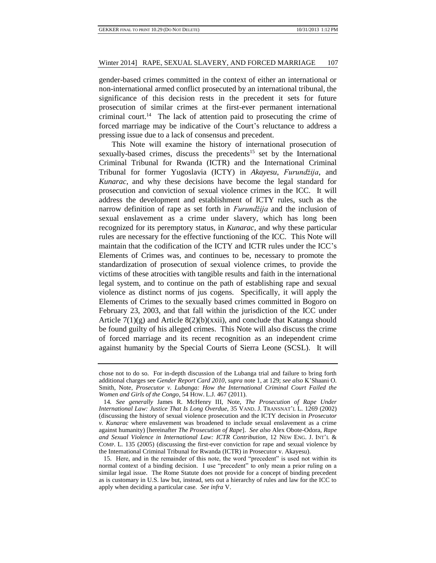gender-based crimes committed in the context of either an international or non-international armed conflict prosecuted by an international tribunal, the significance of this decision rests in the precedent it sets for future prosecution of similar crimes at the first-ever permanent international criminal court.<sup>14</sup> The lack of attention paid to prosecuting the crime of forced marriage may be indicative of the Court's reluctance to address a pressing issue due to a lack of consensus and precedent.

This Note will examine the history of international prosecution of sexually-based crimes, discuss the precedents<sup>15</sup> set by the International Criminal Tribunal for Rwanda (ICTR) and the International Criminal Tribunal for former Yugoslavia (ICTY) in *Akayesu*, *Furundžija*, and *Kunarac,* and why these decisions have become the legal standard for prosecution and conviction of sexual violence crimes in the ICC. It will address the development and establishment of ICTY rules, such as the narrow definition of rape as set forth in *Furundžija* and the inclusion of sexual enslavement as a crime under slavery, which has long been recognized for its peremptory status, in *Kunarac*, and why these particular rules are necessary for the effective functioning of the ICC. This Note will maintain that the codification of the ICTY and ICTR rules under the ICC's Elements of Crimes was, and continues to be, necessary to promote the standardization of prosecution of sexual violence crimes, to provide the victims of these atrocities with tangible results and faith in the international legal system, and to continue on the path of establishing rape and sexual violence as distinct norms of jus cogens. Specifically, it will apply the Elements of Crimes to the sexually based crimes committed in Bogoro on February 23, 2003, and that fall within the jurisdiction of the ICC under Article  $7(1)(g)$  and Article  $8(2)(b)(xxii)$ , and conclude that Katanga should be found guilty of his alleged crimes. This Note will also discuss the crime of forced marriage and its recent recognition as an independent crime against humanity by the Special Courts of Sierra Leone (SCSL). It will

chose not to do so. For in-depth discussion of the Lubanga trial and failure to bring forth additional charges see *Gender Report Card 2010*, *supra* note 1, at 129; *see also* K'Shaani O. Smith, Note, *Prosecutor v. Lubanga: How the International Criminal Court Failed the Women and Girls of the Congo*, 54 HOW. L.J. 467 (2011).

<sup>14</sup>*. See generally* James R. McHenry III, Note, *The Prosecution of Rape Under International Law: Justice That Is Long Overdue*, 35 VAND. J. TRANSNAT'L L. 1269 (2002) (discussing the history of sexual violence prosecution and the ICTY decision in *Prosecutor v. Kunarac* where enslavement was broadened to include sexual enslavement as a crime against humanity) [hereinafter *The Prosecution of Rape*]. *See also* Alex Obote-Odora, *Rape and Sexual Violence in International Law: ICTR Contribution*, 12 NEW ENG. J. INT'L & COMP. L. 135 (2005) (discussing the first-ever conviction for rape and sexual violence by the International Criminal Tribunal for Rwanda (ICTR) in Prosecutor v. Akayesu).

<sup>15.</sup> Here, and in the remainder of this note, the word "precedent" is used not within its normal context of a binding decision. I use "precedent" to only mean a prior ruling on a similar legal issue. The Rome Statute does not provide for a concept of binding precedent as is customary in U.S. law but, instead, sets out a hierarchy of rules and law for the ICC to apply when deciding a particular case. *See infra* V.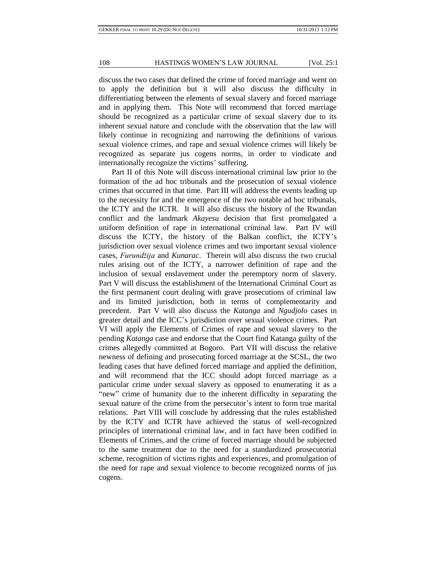discuss the two cases that defined the crime of forced marriage and went on to apply the definition but it will also discuss the difficulty in differentiating between the elements of sexual slavery and forced marriage and in applying them. This Note will recommend that forced marriage should be recognized as a particular crime of sexual slavery due to its inherent sexual nature and conclude with the observation that the law will likely continue in recognizing and narrowing the definitions of various sexual violence crimes, and rape and sexual violence crimes will likely be recognized as separate jus cogens norms, in order to vindicate and internationally recognize the victims' suffering.

Part II of this Note will discuss international criminal law prior to the formation of the ad hoc tribunals and the prosecution of sexual violence crimes that occurred in that time. Part III will address the events leading up to the necessity for and the emergence of the two notable ad hoc tribunals, the ICTY and the ICTR. It will also discuss the history of the Rwandan conflict and the landmark *Akayesu* decision that first promulgated a uniform definition of rape in international criminal law. Part IV will discuss the ICTY, the history of the Balkan conflict, the ICTY's jurisdiction over sexual violence crimes and two important sexual violence cases, *Furundžija* and *Kunarac*. Therein will also discuss the two crucial rules arising out of the ICTY, a narrower definition of rape and the inclusion of sexual enslavement under the peremptory norm of slavery. Part V will discuss the establishment of the International Criminal Court as the first permanent court dealing with grave prosecutions of criminal law and its limited jurisdiction, both in terms of complementarity and precedent. Part V will also discuss the *Katanga* and *Ngudjolo* cases in greater detail and the ICC's jurisdiction over sexual violence crimes. Part VI will apply the Elements of Crimes of rape and sexual slavery to the pending *Katanga* case and endorse that the Court find Katanga guilty of the crimes allegedly committed at Bogoro. Part VII will discuss the relative newness of defining and prosecuting forced marriage at the SCSL, the two leading cases that have defined forced marriage and applied the definition, and will recommend that the ICC should adopt forced marriage as a particular crime under sexual slavery as opposed to enumerating it as a "new" crime of humanity due to the inherent difficulty in separating the sexual nature of the crime from the persecutor's intent to form true marital relations. Part VIII will conclude by addressing that the rules established by the ICTY and ICTR have achieved the status of well-recognized principles of international criminal law, and in fact have been codified in Elements of Crimes, and the crime of forced marriage should be subjected to the same treatment due to the need for a standardized prosecutorial scheme, recognition of victims rights and experiences, and promulgation of the need for rape and sexual violence to become recognized norms of jus cogens.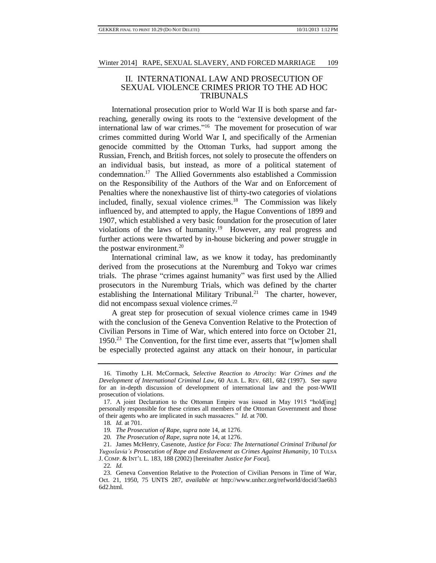## II. INTERNATIONAL LAW AND PROSECUTION OF SEXUAL VIOLENCE CRIMES PRIOR TO THE AD HOC TRIBUNALS

International prosecution prior to World War II is both sparse and farreaching, generally owing its roots to the "extensive development of the international law of war crimes."<sup>16</sup> The movement for prosecution of war crimes committed during World War I, and specifically of the Armenian genocide committed by the Ottoman Turks, had support among the Russian, French, and British forces, not solely to prosecute the offenders on an individual basis, but instead, as more of a political statement of condemnation.<sup>17</sup> The Allied Governments also established a Commission on the Responsibility of the Authors of the War and on Enforcement of Penalties where the nonexhaustive list of thirty-two categories of violations included, finally, sexual violence crimes.<sup>18</sup> The Commission was likely influenced by, and attempted to apply, the Hague Conventions of 1899 and 1907, which established a very basic foundation for the prosecution of later violations of the laws of humanity.<sup>19</sup> However, any real progress and further actions were thwarted by in-house bickering and power struggle in the postwar environment. $20$ 

International criminal law, as we know it today, has predominantly derived from the prosecutions at the Nuremburg and Tokyo war crimes trials. The phrase "crimes against humanity" was first used by the Allied prosecutors in the Nuremburg Trials, which was defined by the charter establishing the International Military Tribunal.<sup>21</sup> The charter, however, did not encompass sexual violence crimes.<sup>22</sup>

A great step for prosecution of sexual violence crimes came in 1949 with the conclusion of the Geneva Convention Relative to the Protection of Civilian Persons in Time of War, which entered into force on October 21, 1950.<sup>23</sup> The Convention, for the first time ever, asserts that "[w]omen shall be especially protected against any attack on their honour, in particular

<sup>16.</sup> Timothy L.H. McCormack, *Selective Reaction to Atrocity: War Crimes and the Development of International Criminal Law*, 60 ALB. L. REV. 681, 682 (1997). See *supra* for an in-depth discussion of development of international law and the post-WWII prosecution of violations.

<sup>17.</sup> A joint Declaration to the Ottoman Empire was issued in May 1915 "hold[ing] personally responsible for these crimes all members of the Ottoman Government and those of their agents who are implicated in such massacres." *Id.* at 700.

<sup>18</sup>*. Id.* at 701.

<sup>19</sup>*. The Prosecution of Rape*, *supra* note 14, at 1276.

<sup>20</sup>*. The Prosecution of Rape*, *supra* note 14, at 1276.

<sup>21.</sup> James McHenry, Casenote, *Justice for Foca: The International Criminal Tribunal for Yugoslavia's Prosecution of Rape and Enslavement as Crimes Against Humanity*, 10 TULSA J. COMP. & INT'L L. 183, 188 (2002) [hereinafter *Justice for Foca*].

<sup>22</sup>*. Id.*

<sup>23.</sup> Geneva Convention Relative to the Protection of Civilian Persons in Time of War, Oct. 21, 1950, 75 UNTS 287, *available at* http://www.unhcr.org/refworld/docid/3ae6b3 6d2.html.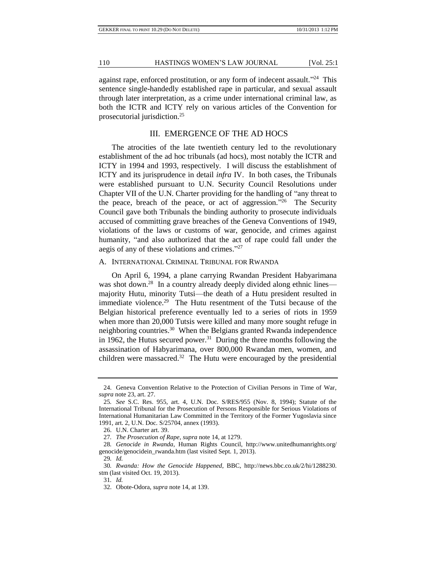against rape, enforced prostitution, or any form of indecent assault."<sup>24</sup> This sentence single-handedly established rape in particular, and sexual assault through later interpretation, as a crime under international criminal law, as both the ICTR and ICTY rely on various articles of the Convention for prosecutorial jurisdiction.<sup>25</sup>

## III. EMERGENCE OF THE AD HOCS

The atrocities of the late twentieth century led to the revolutionary establishment of the ad hoc tribunals (ad hocs), most notably the ICTR and ICTY in 1994 and 1993, respectively. I will discuss the establishment of ICTY and its jurisprudence in detail *infra* IV. In both cases, the Tribunals were established pursuant to U.N. Security Council Resolutions under Chapter VII of the U.N. Charter providing for the handling of "any threat to the peace, breach of the peace, or act of aggression."<sup>26</sup> The Security Council gave both Tribunals the binding authority to prosecute individuals accused of committing grave breaches of the Geneva Conventions of 1949, violations of the laws or customs of war, genocide, and crimes against humanity, "and also authorized that the act of rape could fall under the aegis of any of these violations and crimes." 27

#### A. INTERNATIONAL CRIMINAL TRIBUNAL FOR RWANDA

On April 6, 1994, a plane carrying Rwandan President Habyarimana was shot down.<sup>28</sup> In a country already deeply divided along ethnic lines majority Hutu, minority Tutsi—the death of a Hutu president resulted in immediate violence.<sup>29</sup> The Hutu resentment of the Tutsi because of the Belgian historical preference eventually led to a series of riots in 1959 when more than 20,000 Tutsis were killed and many more sought refuge in neighboring countries.<sup>30</sup> When the Belgians granted Rwanda independence in 1962, the Hutus secured power.<sup>31</sup> During the three months following the assassination of Habyarimana, over 800,000 Rwandan men, women, and children were massacred.<sup>32</sup> The Hutu were encouraged by the presidential

<sup>24.</sup> Geneva Convention Relative to the Protection of Civilian Persons in Time of War, *supra* note 23, art. 27.

<sup>25</sup>*. See* S.C. Res. 955, art. 4, U.N. Doc. S/RES/955 (Nov. 8, 1994); Statute of the International Tribunal for the Prosecution of Persons Responsible for Serious Violations of International Humanitarian Law Committed in the Territory of the Former Yugoslavia since 1991, art. 2, U.N. Doc. S/25704, annex (1993).

<sup>26.</sup> U.N. Charter art. 39.

<sup>27</sup>*. The Prosecution of Rape*, *supra* note 14, at 1279.

<sup>28</sup>*. Genocide in Rwanda*, Human Rights Council, http://www.unitedhumanrights.org/ genocide/genocidein\_rwanda.htm (last visited Sept. 1, 2013).

<sup>29</sup>*. Id.*

<sup>30</sup>*. Rwanda: How the Genocide Happened*, BBC, http://news.bbc.co.uk/2/hi/1288230. stm (last visited Oct. 19, 2013).

<sup>31</sup>*. Id.*

<sup>32.</sup> Obote-Odora, *supra* note 14, at 139.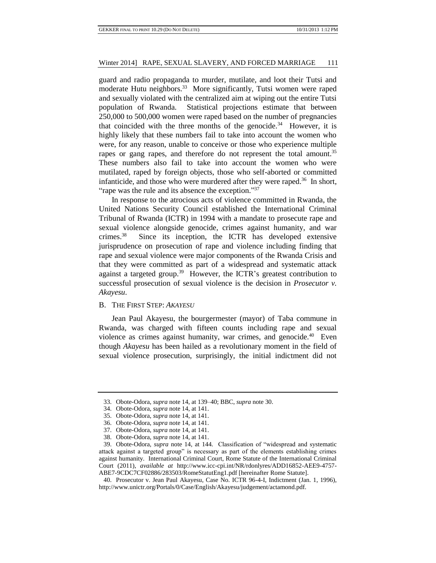guard and radio propaganda to murder, mutilate, and loot their Tutsi and moderate Hutu neighbors.<sup>33</sup> More significantly, Tutsi women were raped and sexually violated with the centralized aim at wiping out the entire Tutsi population of Rwanda. Statistical projections estimate that between 250,000 to 500,000 women were raped based on the number of pregnancies that coincided with the three months of the genocide.<sup>34</sup> However, it is highly likely that these numbers fail to take into account the women who were, for any reason, unable to conceive or those who experience multiple rapes or gang rapes, and therefore do not represent the total amount.<sup>35</sup> These numbers also fail to take into account the women who were mutilated, raped by foreign objects, those who self-aborted or committed infanticide, and those who were murdered after they were raped.<sup>36</sup> In short, "rape was the rule and its absence the exception."<sup>37</sup>

In response to the atrocious acts of violence committed in Rwanda, the United Nations Security Council established the International Criminal Tribunal of Rwanda (ICTR) in 1994 with a mandate to prosecute rape and sexual violence alongside genocide, crimes against humanity, and war crimes.<sup>38</sup> Since its inception, the ICTR has developed extensive jurisprudence on prosecution of rape and violence including finding that rape and sexual violence were major components of the Rwanda Crisis and that they were committed as part of a widespread and systematic attack against a targeted group.<sup>39</sup> However, the ICTR's greatest contribution to successful prosecution of sexual violence is the decision in *Prosecutor v. Akayesu*.

## B. THE FIRST STEP: *AKAYESU*

Jean Paul Akayesu, the bourgermester (mayor) of Taba commune in Rwanda, was charged with fifteen counts including rape and sexual violence as crimes against humanity, war crimes, and genocide.<sup>40</sup> Even though *Akayesu* has been hailed as a revolutionary moment in the field of sexual violence prosecution, surprisingly, the initial indictment did not

<sup>33.</sup> Obote-Odora, *supra* note 14, at 139–40; BBC, *supra* note 30.

<sup>34.</sup> Obote-Odora, *supra* note 14, at 141.

<sup>35.</sup> Obote-Odora, *supra* note 14, at 141.

<sup>36.</sup> Obote-Odora, *supra* note 14, at 141.

<sup>37.</sup> Obote-Odora, *supra* note 14, at 141.

<sup>38.</sup> Obote-Odora, *supra* note 14, at 141.

<sup>39.</sup> Obote-Odora, *supra* note 14, at 144. Classification of "widespread and systematic attack against a targeted group" is necessary as part of the elements establishing crimes against humanity. International Criminal Court, Rome Statute of the International Criminal Court (2011), *available at* http://www.icc-cpi.int/NR/rdonlyres/ADD16852-AEE9-4757- ABE7-9CDC7CF02886/283503/RomeStatutEng1.pdf [hereinafter Rome Statute].

<sup>40.</sup> Prosecutor v. Jean Paul Akayesu, Case No. ICTR 96-4-I, Indictment (Jan. 1, 1996), http://www.unictr.org/Portals/0/Case/English/Akayesu/judgement/actamond.pdf.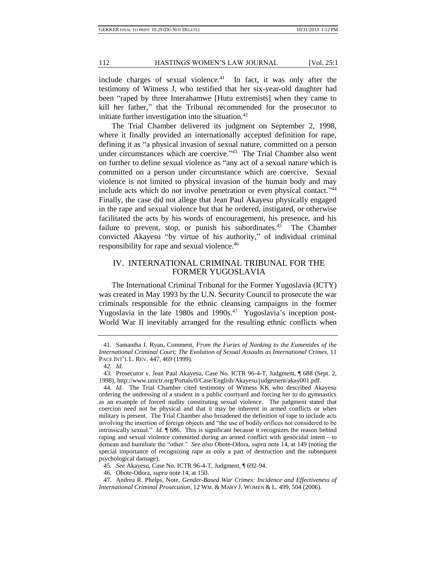include charges of sexual violence.<sup>41</sup> In fact, it was only after the testimony of Witness J, who testified that her six-year-old daughter had been "raped by three Interahamwe [Hutu extremists] when they came to kill her father," that the Tribunal recommended for the prosecutor to initiate further investigation into the situation. $42$ 

The Trial Chamber delivered its judgment on September 2, 1998, where it finally provided an internationally accepted definition for rape, defining it as "a physical invasion of sexual nature, committed on a person under circumstances which are coercive."<sup>43</sup> The Trial Chamber also went on further to define sexual violence as "any act of a sexual nature which is committed on a person under circumstance which are coercive. Sexual violence is not limited to physical invasion of the human body and may include acts which do not involve penetration or even physical contact."<sup>44</sup> Finally, the case did not allege that Jean Paul Akayesu physically engaged in the rape and sexual violence but that he ordered, instigated, or otherwise facilitated the acts by his words of encouragement, his presence, and his failure to prevent, stop, or punish his subordinates.<sup>45</sup> The Chamber convicted Akayesu "by virtue of his authority," of individual criminal responsibility for rape and sexual violence.<sup>46</sup>

## IV. INTERNATIONAL CRIMINAL TRIBUNAL FOR THE FORMER YUGOSLAVIA

The International Criminal Tribunal for the Former Yugoslavia (ICTY) was created in May 1993 by the U.N. Security Council to prosecute the war criminals responsible for the ethnic cleansing campaigns in the former Yugoslavia in the late 1980s and 1990s.<sup>47</sup> Yugoslavia's inception post-World War II inevitably arranged for the resulting ethnic conflicts when

<sup>41.</sup> Samantha I. Ryan, Comment, *From the Furies of Nanking to the Eumenides of the International Criminal Court; The Evolution of Sexual Assaults as International Crimes*, 11 PACE INT'L L. REV. 447, 469 (1999).

<sup>42</sup>*. Id.*

<sup>43.</sup> Prosecutor v. Jean Paul Akayesu, Case No. ICTR 96-4-T, Judgment, ¶ 688 (Sept. 2, 1998), http://www.unictr.org/Portals/0/Case/English/Akayesu/judgement/akay001.pdf.

<sup>44</sup>*. Id.* The Trial Chamber cited testimony of Witness KK who described Akayesu ordering the undressing of a student in a public courtyard and forcing her to do gymnastics as an example of forced nudity constituting sexual violence. The judgment stated that coercion need not be physical and that it may be inherent in armed conflicts or when military is present. The Trial Chamber also broadened the definition of rape to include acts involving the insertion of foreign objects and "the use of bodily orifices not considered to be intrinsically sexual." *Id.* ¶ 686. This is significant because it recognizes the reason behind raping and sexual violence committed during an armed conflict with genocidal intent—to demean and humiliate the "other." *See also* Obote-Odora, *supra* note 14, at 149 (noting the special importance of recognizing rape as only a part of destruction and the subsequent psychological damage).

<sup>45</sup>*. See* Akayesu, Case No. ICTR 96-4-T, Judgment, ¶ 692-94.

<sup>46.</sup> Obote-Odora, *supra* note 14, at 150.

<sup>47.</sup> Andrea R. Phelps, Note, *Gender-Based War Crimes: Incidence and Effectiveness of International Criminal Prosecution*, 12 WM. & MARY J. WOMEN & L. 499, 504 (2006).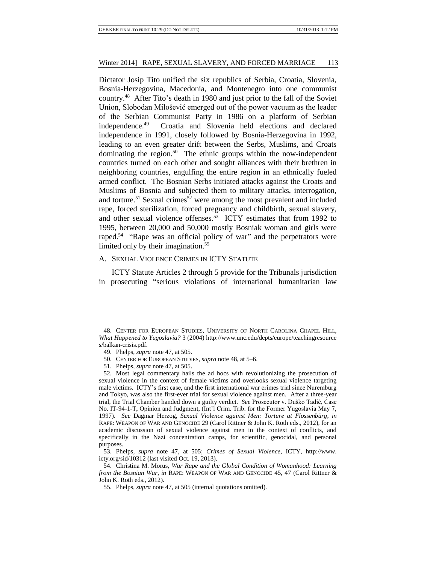Dictator Josip Tito unified the six republics of Serbia, Croatia, Slovenia, Bosnia-Herzegovina, Macedonia, and Montenegro into one communist country.<sup>48</sup> After Tito's death in 1980 and just prior to the fall of the Soviet Union, Slobodan Milošević emerged out of the power vacuum as the leader of the Serbian Communist Party in 1986 on a platform of Serbian independence.<sup>49</sup> Croatia and Slovenia held elections and declared independence in 1991, closely followed by Bosnia-Herzegovina in 1992, leading to an even greater drift between the Serbs, Muslims, and Croats dominating the region.<sup>50</sup> The ethnic groups within the now-independent countries turned on each other and sought alliances with their brethren in neighboring countries, engulfing the entire region in an ethnically fueled armed conflict. The Bosnian Serbs initiated attacks against the Croats and Muslims of Bosnia and subjected them to military attacks, interrogation, and torture.<sup>51</sup> Sexual crimes<sup>52</sup> were among the most prevalent and included rape, forced sterilization, forced pregnancy and childbirth, sexual slavery, and other sexual violence offenses.<sup>53</sup> ICTY estimates that from 1992 to 1995, between 20,000 and 50,000 mostly Bosniak woman and girls were raped.<sup>54</sup> "Rape was an official policy of war" and the perpetrators were limited only by their imagination.<sup>55</sup>

#### A. SEXUAL VIOLENCE CRIMES IN ICTY STATUTE

ICTY Statute Articles 2 through 5 provide for the Tribunals jurisdiction in prosecuting "serious violations of international humanitarian law

<sup>48.</sup> CENTER FOR EUROPEAN STUDIES, UNIVERSITY OF NORTH CAROLINA CHAPEL HILL, *What Happened to Yugoslavia?* 3 (2004) http://www.unc.edu/depts/europe/teachingresource s/balkan-crisis.pdf.

<sup>49.</sup> Phelps, *supra* note 47, at 505.

<sup>50.</sup> CENTER FOR EUROPEAN STUDIES, *supra* note 48, at 5–6.

<sup>51.</sup> Phelps, *supra* note 47, at 505.

<sup>52.</sup> Most legal commentary hails the ad hocs with revolutionizing the prosecution of sexual violence in the context of female victims and overlooks sexual violence targeting male victims. ICTY's first case, and the first international war crimes trial since Nuremburg and Tokyo, was also the first-ever trial for sexual violence against men. After a three-year trial, the Trial Chamber handed down a guilty verdict. *See* Prosecutor v. Duško Tadić, Case No. IT-94-1-T, Opinion and Judgment, (Int'l Crim. Trib. for the Former Yugoslavia May 7, 1997). *See* Dagmar Herzog, *Sexual Violence against Men: Torture at Flossenbürg*, *in*  RAPE: WEAPON OF WAR AND GENOCIDE 29 (Carol Rittner & John K. Roth eds., 2012), for an academic discussion of sexual violence against men in the context of conflicts, and specifically in the Nazi concentration camps, for scientific, genocidal, and personal purposes.

<sup>53.</sup> Phelps, *supra* note 47, at 505; *Crimes of Sexual Violence*, ICTY, http://www. icty.org/sid/10312 (last visited Oct. 19, 2013).

<sup>54.</sup> Christina M. Morus, *War Rape and the Global Condition of Womanhood: Learning from the Bosnian War*, *in* RAPE: WEAPON OF WAR AND GENOCIDE 45, 47 (Carol Rittner & John K. Roth eds., 2012).

<sup>55.</sup> Phelps, *supra* note 47, at 505 (internal quotations omitted).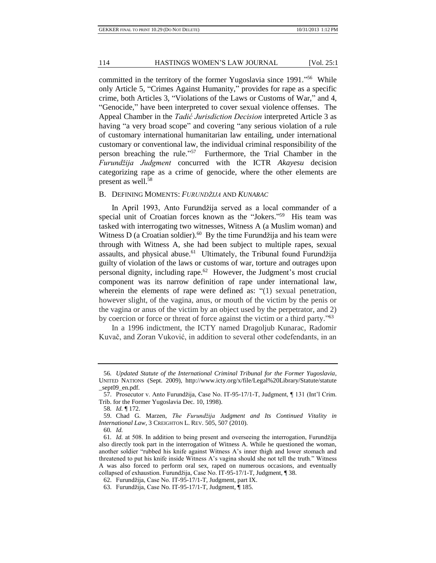committed in the territory of the former Yugoslavia since 1991."<sup>56</sup> While only Article 5, "Crimes Against Humanity," provides for rape as a specific crime, both Articles 3, "Violations of the Laws or Customs of War," and 4, "Genocide," have been interpreted to cover sexual violence offenses. The Appeal Chamber in the *Tadić Jurisdiction Decision* interpreted Article 3 as having "a very broad scope" and covering "any serious violation of a rule of customary international humanitarian law entailing, under international customary or conventional law, the individual criminal responsibility of the person breaching the rule."<sup>57</sup> Furthermore, the Trial Chamber in the *Furundžija Judgment* concurred with the ICTR *Akayesu* decision categorizing rape as a crime of genocide, where the other elements are present as well.<sup>58</sup>

### B. DEFINING MOMENTS: *FURUNDŽIJA* AND *KUNARAC*

In April 1993, Anto Furundžija served as a local commander of a special unit of Croatian forces known as the "Jokers."<sup>59</sup> His team was tasked with interrogating two witnesses, Witness A (a Muslim woman) and Witness D (a Croatian soldier).<sup>60</sup> By the time Furundžija and his team were through with Witness A, she had been subject to multiple rapes, sexual assaults, and physical abuse.<sup>61</sup> Ultimately, the Tribunal found Furundžija guilty of violation of the laws or customs of war, torture and outrages upon personal dignity, including rape.<sup>62</sup> However, the Judgment's most crucial component was its narrow definition of rape under international law, wherein the elements of rape were defined as: "(1) sexual penetration, however slight, of the vagina, anus, or mouth of the victim by the penis or the vagina or anus of the victim by an object used by the perpetrator, and 2) by coercion or force or threat of force against the victim or a third party."<sup>63</sup>

In a 1996 indictment, the ICTY named Dragoljub Kunarac, Radomir Kuvač, and Zoran Vuković, in addition to several other codefendants, in an

<sup>56</sup>*. Updated Statute of the International Criminal Tribunal for the Former Yugoslavia*, UNITED NATIONS (Sept. 2009), http://www.icty.org/x/file/Legal%20Library/Statute/statute \_sept09\_en.pdf.

<sup>57.</sup> Prosecutor v. Anto Furundžija, Case No. IT-95-17/1-T, Judgment, ¶ 131 (Int'l Crim. Trib. for the Former Yugoslavia Dec. 10, 1998).

<sup>58</sup>*. Id.* ¶ 172.

<sup>59.</sup> Chad G. Marzen, *The Furundžija Judgment and Its Continued Vitality in International Law*, 3 CREIGHTON L. REV. 505, 507 (2010).

<sup>60</sup>*. Id.* 

<sup>61</sup>*. Id.* at 508. In addition to being present and overseeing the interrogation, Furundžija also directly took part in the interrogation of Witness A. While he questioned the woman, another soldier "rubbed his knife against Witness A's inner thigh and lower stomach and threatened to put his knife inside Witness A's vagina should she not tell the truth." Witness A was also forced to perform oral sex, raped on numerous occasions, and eventually collapsed of exhaustion. Furundžija, Case No. IT-95-17/1-T, Judgment, ¶ 38.

<sup>62.</sup> Furundžija, Case No. IT-95-17/1-T, Judgment, part IX.

<sup>63.</sup> Furundžija, Case No. IT-95-17/1-T, Judgment, ¶ 185.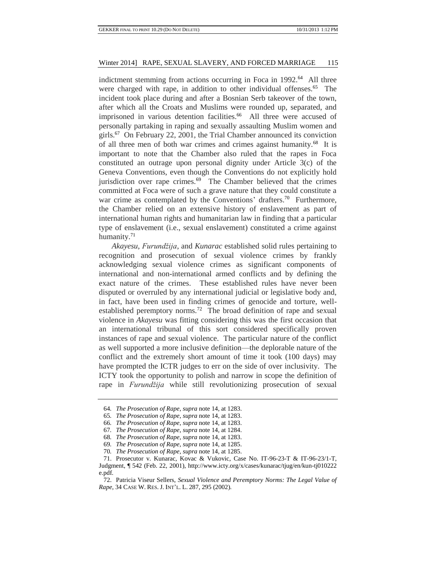indictment stemming from actions occurring in Foca in 1992.<sup>64</sup> All three were charged with rape, in addition to other individual offenses.<sup>65</sup> The incident took place during and after a Bosnian Serb takeover of the town, after which all the Croats and Muslims were rounded up, separated, and imprisoned in various detention facilities.<sup>66</sup> All three were accused of personally partaking in raping and sexually assaulting Muslim women and girls.<sup>67</sup> On February 22, 2001, the Trial Chamber announced its conviction of all three men of both war crimes and crimes against humanity.<sup>68</sup> It is important to note that the Chamber also ruled that the rapes in Foca constituted an outrage upon personal dignity under Article 3(c) of the Geneva Conventions, even though the Conventions do not explicitly hold jurisdiction over rape crimes.<sup>69</sup> The Chamber believed that the crimes committed at Foca were of such a grave nature that they could constitute a war crime as contemplated by the Conventions' drafters.<sup>70</sup> Furthermore, the Chamber relied on an extensive history of enslavement as part of international human rights and humanitarian law in finding that a particular type of enslavement (i.e., sexual enslavement) constituted a crime against humanity. $71$ 

*Akayesu*, *Furundžija*, and *Kunarac* established solid rules pertaining to recognition and prosecution of sexual violence crimes by frankly acknowledging sexual violence crimes as significant components of international and non-international armed conflicts and by defining the exact nature of the crimes. These established rules have never been disputed or overruled by any international judicial or legislative body and, in fact, have been used in finding crimes of genocide and torture, wellestablished peremptory norms.<sup>72</sup> The broad definition of rape and sexual violence in *Akayesu* was fitting considering this was the first occasion that an international tribunal of this sort considered specifically proven instances of rape and sexual violence. The particular nature of the conflict as well supported a more inclusive definition—the deplorable nature of the conflict and the extremely short amount of time it took (100 days) may have prompted the ICTR judges to err on the side of over inclusivity. The ICTY took the opportunity to polish and narrow in scope the definition of rape in *Furundžija* while still revolutionizing prosecution of sexual

<sup>64</sup>*. The Prosecution of Rape*, *supra* note 14, at 1283.

<sup>65</sup>*. The Prosecution of Rape*, *supra* note 14, at 1283.

<sup>66</sup>*. The Prosecution of Rape*, *supra* note 14, at 1283.

<sup>67</sup>*. The Prosecution of Rape*, *supra* note 14, at 1284.

<sup>68</sup>*. The Prosecution of Rape*, *supra* note 14, at 1283.

<sup>69</sup>*. The Prosecution of Rape*, *supra* note 14, at 1285.

<sup>70</sup>*. The Prosecution of Rape*, *supra* note 14, at 1285.

<sup>71.</sup> Prosecutor v. Kunarac, Kovac & Vukovic, Case No. IT-96-23-T & IT-96-23/1-T, Judgment, ¶ 542 (Feb. 22, 2001), http://www.icty.org/x/cases/kunarac/tjug/en/kun-tj010222 e.pdf.

<sup>72.</sup> Patricia Viseur Sellers, *Sexual Violence and Peremptory Norms: The Legal Value of Rape*, 34 CASE W. RES. J. INT'L. L. 287, 295 (2002).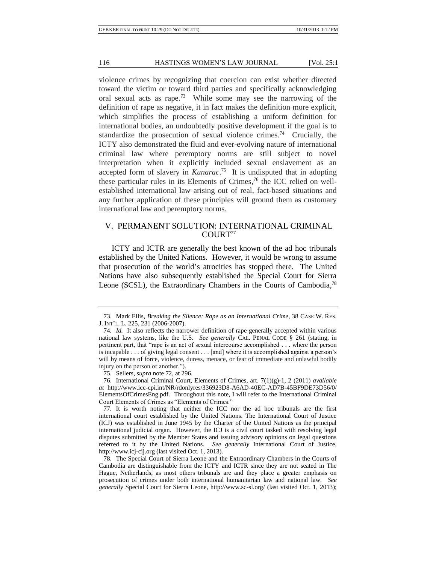violence crimes by recognizing that coercion can exist whether directed toward the victim or toward third parties and specifically acknowledging oral sexual acts as rape.<sup>73</sup> While some may see the narrowing of the definition of rape as negative, it in fact makes the definition more explicit, which simplifies the process of establishing a uniform definition for international bodies, an undoubtedly positive development if the goal is to standardize the prosecution of sexual violence crimes.<sup>74</sup> Crucially, the ICTY also demonstrated the fluid and ever-evolving nature of international criminal law where peremptory norms are still subject to novel interpretation when it explicitly included sexual enslavement as an accepted form of slavery in *Kunarac*. <sup>75</sup> It is undisputed that in adopting these particular rules in its Elements of Crimes, <sup>76</sup> the ICC relied on wellestablished international law arising out of real, fact-based situations and any further application of these principles will ground them as customary international law and peremptory norms.

## V. PERMANENT SOLUTION: INTERNATIONAL CRIMINAL COURT<sup>77</sup>

ICTY and ICTR are generally the best known of the ad hoc tribunals established by the United Nations. However, it would be wrong to assume that prosecution of the world's atrocities has stopped there. The United Nations have also subsequently established the Special Court for Sierra Leone (SCSL), the Extraordinary Chambers in the Courts of Cambodia,<sup>78</sup>

<sup>73.</sup> Mark Ellis, *Breaking the Silence: Rape as an International Crime*, 38 CASE W. RES. J. INT'L. L. 225, 231 (2006-2007).

<sup>74</sup>*. Id.* It also reflects the narrower definition of rape generally accepted within various national law systems, like the U.S. *See generally* CAL. PENAL CODE § 261 (stating, in pertinent part, that "rape is an act of sexual intercourse accomplished . . . where the person is incapable . . . of giving legal consent . . . [and] where it is accomplished against a person's will by means of force, violence, duress, menace, or fear of immediate and unlawful bodily injury on the person or another.").

<sup>75.</sup> Sellers, *supra* note 72, at 296.

<sup>76.</sup> International Criminal Court, Elements of Crimes, art. 7(1)(g)-1, 2 (2011) *available at* http://www.icc-cpi.int/NR/rdonlyres/336923D8-A6AD-40EC-AD7B-45BF9DE73D56/0/ ElementsOfCrimesEng.pdf. Throughout this note, I will refer to the International Criminal Court Elements of Crimes as "Elements of Crimes."

<sup>77.</sup> It is worth noting that neither the ICC nor the ad hoc tribunals are the first international court established by the United Nations. The International Court of Justice (ICJ) was established in June 1945 by the Charter of the United Nations as the principal international judicial organ. However, the ICJ is a civil court tasked with resolving legal disputes submitted by the Member States and issuing advisory opinions on legal questions referred to it by the United Nations. *See generally* International Court of Justice, http://www.icj-cij.org (last visited Oct. 1, 2013).

<sup>78.</sup> The Special Court of Sierra Leone and the Extraordinary Chambers in the Courts of Cambodia are distinguishable from the ICTY and ICTR since they are not seated in The Hague, Netherlands, as most others tribunals are and they place a greater emphasis on prosecution of crimes under both international humanitarian law and national law. *See generally* Special Court for Sierra Leone, http://www.sc-sl.org/ (last visited Oct. 1, 2013);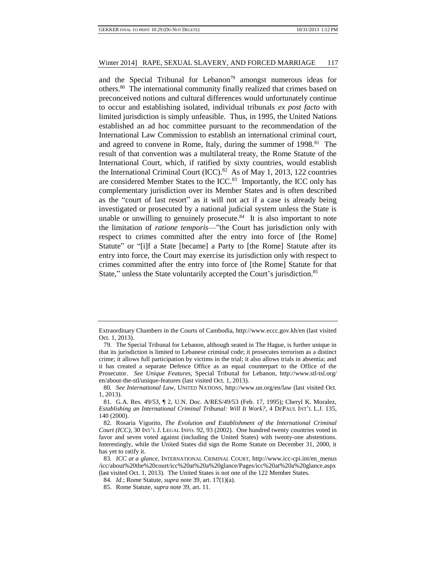and the Special Tribunal for Lebanon<sup>79</sup> amongst numerous ideas for others.<sup>80</sup> The international community finally realized that crimes based on preconceived notions and cultural differences would unfortunately continue to occur and establishing isolated, individual tribunals *ex post facto* with limited jurisdiction is simply unfeasible. Thus, in 1995, the United Nations established an ad hoc committee pursuant to the recommendation of the International Law Commission to establish an international criminal court, and agreed to convene in Rome, Italy, during the summer of 1998.<sup>81</sup> The result of that convention was a multilateral treaty, the Rome Statute of the International Court, which, if ratified by sixty countries, would establish the International Criminal Court (ICC). $82$  As of May 1, 2013, 122 countries are considered Member States to the ICC.<sup>83</sup> Importantly, the ICC only has complementary jurisdiction over its Member States and is often described as the "court of last resort" as it will not act if a case is already being investigated or prosecuted by a national judicial system unless the State is unable or unwilling to genuinely prosecute.<sup>84</sup> It is also important to note the limitation of *ratione temporis*—"the Court has jurisdiction only with respect to crimes committed after the entry into force of [the Rome] Statute" or "[i]f a State [became] a Party to [the Rome] Statute after its entry into force, the Court may exercise its jurisdiction only with respect to crimes committed after the entry into force of [the Rome] Statute for that State," unless the State voluntarily accepted the Court's jurisdiction.<sup>85</sup>

Extraordinary Chambers in the Courts of Cambodia, http://www.eccc.gov.kh/en (last visited Oct. 1, 2013).

<sup>79.</sup> The Special Tribunal for Lebanon, although seated in The Hague, is further unique in that its jurisdiction is limited to Lebanese criminal code; it prosecutes terrorism as a distinct crime; it allows full participation by victims in the trial; it also allows trials in absentia; and it has created a separate Defence Office as an equal counterpart to the Office of the Prosecutor. *See Unique Features*, Special Tribunal for Lebanon, http://www.stl-tsl.org/ en/about-the-stl/unique-features (last visited Oct. 1, 2013).

<sup>80</sup>*. See International Law*, UNITED NATIONS, http://www.un.org/en/law (last visited Oct. 1, 2013).

<sup>81.</sup> G.A. Res. 49/53, ¶ 2, U.N. Doc. A/RES/49/53 (Feb. 17, 1995); Cheryl K. Moralez, *Establishing an International Criminal Tribunal: Will It Work?*, 4 DEPAUL INT'L L.J. 135, 140 (2000).

<sup>82.</sup> Rosaria Vigorito, *The Evolution and Establishment of the International Criminal Court (ICC)*, 30 INT'L J. LEGAL INFO. 92, 93 (2002). One hundred twenty countries voted in favor and seven voted against (including the United States) with twenty-one abstentions. Interestingly, while the United States did sign the Rome Statute on December 31, 2000, it has yet to ratify it.

<sup>83</sup>*. ICC at a glance*, INTERNATIONAL CRIMINAL COURT, http://www.icc-cpi.int/en\_menus /icc/about%20the%20court/icc%20at%20a%20glance/Pages/icc%20at%20a%20glance.aspx (last visited Oct. 1, 2013). The United States is not one of the 122 Member States.

<sup>84</sup>*. Id.*; Rome Statute, *supra* note 39, art. 17(1)(a).

<sup>85.</sup> Rome Statute, *supra* note 39, art. 11.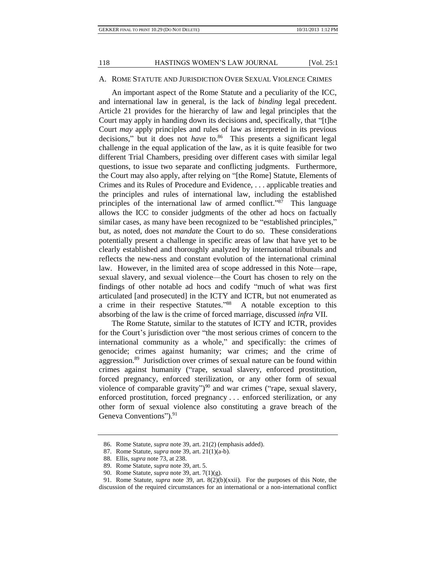## A. ROME STATUTE AND JURISDICTION OVER SEXUAL VIOLENCE CRIMES

An important aspect of the Rome Statute and a peculiarity of the ICC, and international law in general, is the lack of *binding* legal precedent. Article 21 provides for the hierarchy of law and legal principles that the Court may apply in handing down its decisions and, specifically, that "[t]he Court *may* apply principles and rules of law as interpreted in its previous decisions," but it does not *have* to.<sup>86</sup> This presents a significant legal challenge in the equal application of the law, as it is quite feasible for two different Trial Chambers, presiding over different cases with similar legal questions, to issue two separate and conflicting judgments. Furthermore, the Court may also apply, after relying on "[the Rome] Statute, Elements of Crimes and its Rules of Procedure and Evidence, . . . applicable treaties and the principles and rules of international law, including the established principles of the international law of armed conflict."<sup>87</sup> This language allows the ICC to consider judgments of the other ad hocs on factually similar cases, as many have been recognized to be "established principles," but, as noted, does not *mandate* the Court to do so. These considerations potentially present a challenge in specific areas of law that have yet to be clearly established and thoroughly analyzed by international tribunals and reflects the new-ness and constant evolution of the international criminal law. However, in the limited area of scope addressed in this Note—rape, sexual slavery, and sexual violence—the Court has chosen to rely on the findings of other notable ad hocs and codify "much of what was first articulated [and prosecuted] in the ICTY and ICTR, but not enumerated as a crime in their respective Statutes." <sup>88</sup> A notable exception to this absorbing of the law is the crime of forced marriage, discussed *infra* VII.

The Rome Statute, similar to the statutes of ICTY and ICTR, provides for the Court's jurisdiction over "the most serious crimes of concern to the international community as a whole," and specifically: the crimes of genocide; crimes against humanity; war crimes; and the crime of aggression.<sup>89</sup> Jurisdiction over crimes of sexual nature can be found within crimes against humanity ("rape, sexual slavery, enforced prostitution, forced pregnancy, enforced sterilization, or any other form of sexual violence of comparable gravity") <sup>90</sup> and war crimes ("rape, sexual slavery, enforced prostitution, forced pregnancy . . . enforced sterilization, or any other form of sexual violence also constituting a grave breach of the Geneva Conventions").<sup>91</sup>

<sup>86.</sup> Rome Statute, *supra* note 39, art. 21(2) (emphasis added).

<sup>87.</sup> Rome Statute, *supra* note 39, art. 21(1)(a-b).

<sup>88.</sup> Ellis, *supra* note 73, at 238.

<sup>89.</sup> Rome Statute, *supra* note 39, art. 5.

<sup>90.</sup> Rome Statute, *supra* note 39, art. 7(1)(g).

<sup>91.</sup> Rome Statute, *supra* note 39, art. 8(2)(b)(xxii). For the purposes of this Note, the discussion of the required circumstances for an international or a non-international conflict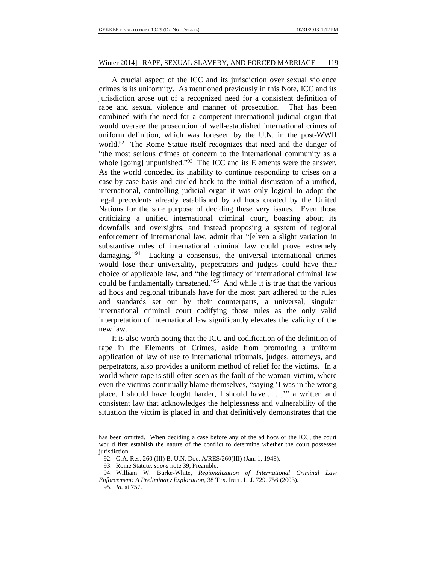A crucial aspect of the ICC and its jurisdiction over sexual violence crimes is its uniformity. As mentioned previously in this Note, ICC and its jurisdiction arose out of a recognized need for a consistent definition of rape and sexual violence and manner of prosecution. That has been combined with the need for a competent international judicial organ that would oversee the prosecution of well-established international crimes of uniform definition, which was foreseen by the U.N. in the post-WWII world.<sup>92</sup> The Rome Statue itself recognizes that need and the danger of "the most serious crimes of concern to the international community as a whole [going] unpunished." $93$  The ICC and its Elements were the answer. As the world conceded its inability to continue responding to crises on a case-by-case basis and circled back to the initial discussion of a unified, international, controlling judicial organ it was only logical to adopt the legal precedents already established by ad hocs created by the United Nations for the sole purpose of deciding these very issues. Even those criticizing a unified international criminal court, boasting about its downfalls and oversights, and instead proposing a system of regional enforcement of international law, admit that "[e]ven a slight variation in substantive rules of international criminal law could prove extremely damaging." <sup>94</sup> Lacking a consensus, the universal international crimes would lose their universality, perpetrators and judges could have their choice of applicable law, and "the legitimacy of international criminal law could be fundamentally threatened." <sup>95</sup> And while it is true that the various ad hocs and regional tribunals have for the most part adhered to the rules and standards set out by their counterparts, a universal, singular international criminal court codifying those rules as the only valid interpretation of international law significantly elevates the validity of the new law.

It is also worth noting that the ICC and codification of the definition of rape in the Elements of Crimes, aside from promoting a uniform application of law of use to international tribunals, judges, attorneys, and perpetrators, also provides a uniform method of relief for the victims. In a world where rape is still often seen as the fault of the woman-victim, where even the victims continually blame themselves, "saying 'I was in the wrong place, I should have fought harder, I should have . . . ,'" a written and consistent law that acknowledges the helplessness and vulnerability of the situation the victim is placed in and that definitively demonstrates that the

has been omitted. When deciding a case before any of the ad hocs or the ICC, the court would first establish the nature of the conflict to determine whether the court possesses jurisdiction.

<sup>92.</sup> G.A. Res. 260 (III) B, U.N. Doc. A/RES/260(III) (Jan. 1, 1948).

<sup>93.</sup> Rome Statute, *supra* note 39, Preamble.

<sup>94.</sup> William W. Burke-White, *Regionalization of International Criminal Law Enforcement: A Preliminary Exploration*, 38 TEX. INTL. L. J. 729, 756 (2003).

<sup>95</sup>*. Id.* at 757.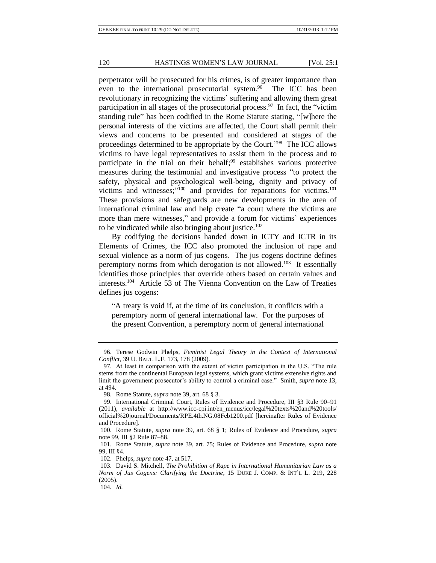perpetrator will be prosecuted for his crimes, is of greater importance than even to the international prosecutorial system.<sup>96</sup> The ICC has been revolutionary in recognizing the victims' suffering and allowing them great participation in all stages of the prosecutorial process.<sup>97</sup> In fact, the "victim" standing rule" has been codified in the Rome Statute stating, "[w]here the personal interests of the victims are affected, the Court shall permit their views and concerns to be presented and considered at stages of the proceedings determined to be appropriate by the Court."<sup>98</sup> The ICC allows victims to have legal representatives to assist them in the process and to participate in the trial on their behalf;<sup>99</sup> establishes various protective measures during the testimonial and investigative process "to protect the safety, physical and psychological well-being, dignity and privacy of victims and witnesses;"<sup>100</sup> and provides for reparations for victims.<sup>101</sup> These provisions and safeguards are new developments in the area of international criminal law and help create "a court where the victims are more than mere witnesses," and provide a forum for victims' experiences to be vindicated while also bringing about justice.<sup>102</sup>

By codifying the decisions handed down in ICTY and ICTR in its Elements of Crimes, the ICC also promoted the inclusion of rape and sexual violence as a norm of jus cogens. The jus cogens doctrine defines peremptory norms from which derogation is not allowed.<sup>103</sup> It essentially identifies those principles that override others based on certain values and interests.<sup>104</sup> Article 53 of The Vienna Convention on the Law of Treaties defines jus cogens:

"A treaty is void if, at the time of its conclusion, it conflicts with a peremptory norm of general international law. For the purposes of the present Convention, a peremptory norm of general international

<sup>96.</sup> Terese Godwin Phelps, *Feminist Legal Theory in the Context of International Conflict*, 39 U. BALT. L.F. 173, 178 (2009).

<sup>97.</sup> At least in comparison with the extent of victim participation in the U.S. "The rule stems from the continental European legal systems, which grant victims extensive rights and limit the government prosecutor's ability to control a criminal case." Smith, *supra* note 13, at 494.

<sup>98.</sup> Rome Statute, *supra* note 39, art. 68 § 3.

<sup>99.</sup> International Criminal Court, Rules of Evidence and Procedure, III §3 Rule 90–91 (2011), *available* at http://www.icc-cpi.int/en\_menus/icc/legal%20texts%20and%20tools/ official%20journal/Documents/RPE.4th.NG.08Feb1200.pdf [hereinafter Rules of Evidence and Procedure].

<sup>100.</sup> Rome Statute, *supra* note 39, art. 68 § 1; Rules of Evidence and Procedure, *supra*  note 99, III §2 Rule 87–88.

<sup>101.</sup> Rome Statute, *supra* note 39, art. 75; Rules of Evidence and Procedure, *supra* note 99, III §4.

<sup>102.</sup> Phelps, *supra* note 47, at 517.

<sup>103.</sup> David S. Mitchell, *The Prohibition of Rape in International Humanitarian Law as a Norm of Jus Cogens: Clarifying the Doctrine*, 15 DUKE J. COMP. & INT'L L. 219, 228 (2005).

<sup>104</sup>*. Id.*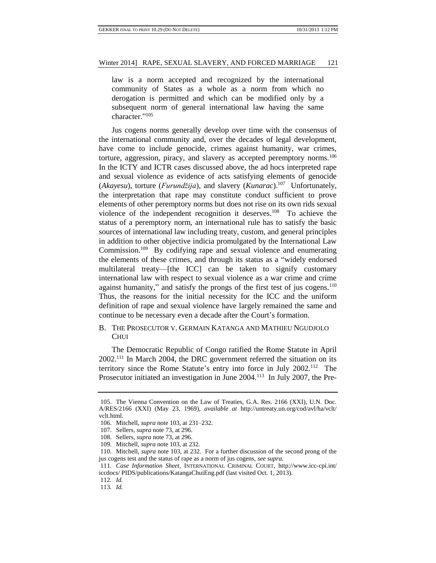law is a norm accepted and recognized by the international community of States as a whole as a norm from which no derogation is permitted and which can be modified only by a subsequent norm of general international law having the same character." 105

Jus cogens norms generally develop over time with the consensus of the international community and, over the decades of legal development, have come to include genocide, crimes against humanity, war crimes, torture, aggression, piracy, and slavery as accepted peremptory norms.<sup>106</sup> In the ICTY and ICTR cases discussed above, the ad hocs interpreted rape and sexual violence as evidence of acts satisfying elements of genocide (*Akayesu*), torture (*Furundžija*), and slavery (*Kunarac*).<sup>107</sup> Unfortunately, the interpretation that rape may constitute conduct sufficient to prove elements of other peremptory norms but does not rise on its own rids sexual violence of the independent recognition it deserves.<sup>108</sup> To achieve the status of a peremptory norm, an international rule has to satisfy the basic sources of international law including treaty, custom, and general principles in addition to other objective indicia promulgated by the International Law Commission.<sup>109</sup> By codifying rape and sexual violence and enumerating the elements of these crimes, and through its status as a "widely endorsed multilateral treaty—[the ICC] can be taken to signify customary international law with respect to sexual violence as a war crime and crime against humanity," and satisfy the prongs of the first test of jus cogens.<sup>110</sup> Thus, the reasons for the initial necessity for the ICC and the uniform definition of rape and sexual violence have largely remained the same and continue to be necessary even a decade after the Court's formation.

## B. THE PROSECUTOR V. GERMAIN KATANGA AND MATHIEU NGUDJOLO **CHUI**

The Democratic Republic of Congo ratified the Rome Statute in April 2002.<sup>111</sup> In March 2004, the DRC government referred the situation on its territory since the Rome Statute's entry into force in July 2002.<sup>112</sup> The Prosecutor initiated an investigation in June 2004.<sup>113</sup> In July 2007, the Pre-

112*. Id.*

<sup>105.</sup> The Vienna Convention on the Law of Treaties, G.A. Res. 2166 (XXI), U.N. Doc. A/RES/2166 (XXI) (May 23, 1969), *available at* http://untreaty.un.org/cod/avl/ha/vclt/ vclt.html.

<sup>106.</sup> Mitchell, *supra* note 103, at 231–232.

<sup>107.</sup> Sellers, *supra* note 73, at 296.

<sup>108.</sup> Sellers, *supra* note 73, at 296.

<sup>109.</sup> Mitchell, *supra* note 103, at 232.

<sup>110.</sup> Mitchell, *supra* note 103, at 232. For a further discussion of the second prong of the jus cogens test and the status of rape as a norm of jus cogens, *see supra*.

<sup>111</sup>*. Case Information Sheet*, INTERNATIONAL CRIMINAL COURT, http://www.icc-cpi.int/ iccdocs/ PIDS/publications/KatangaChuiEng.pdf (last visited Oct. 1, 2013).

<sup>113</sup>*. Id.*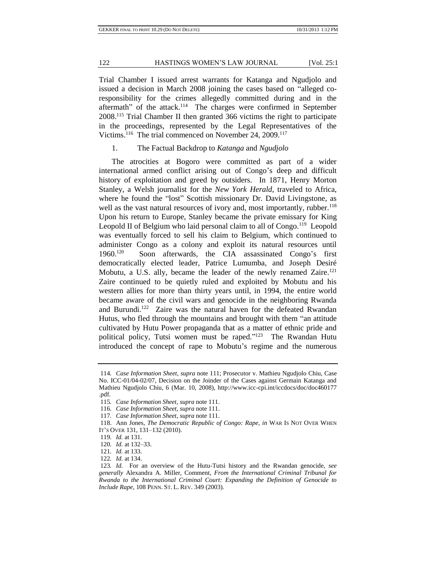Trial Chamber I issued arrest warrants for Katanga and Ngudjolo and issued a decision in March 2008 joining the cases based on "alleged coresponsibility for the crimes allegedly committed during and in the aftermath" of the attack.<sup>114</sup> The charges were confirmed in September 2008.<sup>115</sup> Trial Chamber II then granted 366 victims the right to participate in the proceedings, represented by the Legal Representatives of the Victims.<sup>116</sup> The trial commenced on November 24, 2009.<sup>117</sup>

1. The Factual Backdrop to *Katanga* and *Ngudjolo*

The atrocities at Bogoro were committed as part of a wider international armed conflict arising out of Congo's deep and difficult history of exploitation and greed by outsiders. In 1871, Henry Morton Stanley, a Welsh journalist for the *New York Herald*, traveled to Africa, where he found the "lost" Scottish missionary Dr. David Livingstone, as well as the vast natural resources of ivory and, most importantly, rubber.<sup>118</sup> Upon his return to Europe, Stanley became the private emissary for King Leopold II of Belgium who laid personal claim to all of Congo.<sup>119</sup> Leopold was eventually forced to sell his claim to Belgium, which continued to administer Congo as a colony and exploit its natural resources until 1960.<sup>120</sup> Soon afterwards, the CIA assassinated Congo's first democratically elected leader, Patrice Lumumba, and Joseph Desiré Mobutu, a U.S. ally, became the leader of the newly renamed Zaire.<sup>121</sup> Zaire continued to be quietly ruled and exploited by Mobutu and his western allies for more than thirty years until, in 1994, the entire world became aware of the civil wars and genocide in the neighboring Rwanda and Burundi.<sup>122</sup> Zaire was the natural haven for the defeated Rwandan Hutus, who fled through the mountains and brought with them "an attitude cultivated by Hutu Power propaganda that as a matter of ethnic pride and political policy, Tutsi women must be raped."<sup>123</sup> The Rwandan Hutu introduced the concept of rape to Mobutu's regime and the numerous

<sup>114</sup>*. Case Information Sheet*, *supra* note 111; Prosecutor v. Mathieu Ngudjolo Chiu, Case No. ICC-01/04-02/07, Decision on the Joinder of the Cases against Germain Katanga and Mathieu Ngudjolo Chiu, 6 (Mar. 10, 2008), http://www.icc-cpi.int/iccdocs/doc/doc460177 .pdf.

<sup>115</sup>*. Case Information Sheet*, *supra* note 111.

<sup>116</sup>*. Case Information Sheet*, *supra* note 111.

<sup>117</sup>*. Case Information Sheet*, *supra* note 111.

<sup>118.</sup> Ann Jones, *The Democratic Republic of Congo: Rape*, *in* WAR IS NOT OVER WHEN IT'S OVER 131, 131–132 (2010).

<sup>119</sup>*. Id.* at 131.

<sup>120</sup>*. Id.* at 132–33.

<sup>121</sup>*. Id.* at 133.

<sup>122</sup>*. Id.* at 134.

<sup>123</sup>*. Id.* For an overview of the Hutu-Tutsi history and the Rwandan genocide, *see generally* Alexandra A. Miller, Comment, *From the International Criminal Tribunal for Rwanda to the International Criminal Court: Expanding the Definition of Genocide to Include Rape*, 108 PENN. ST. L. REV. 349 (2003).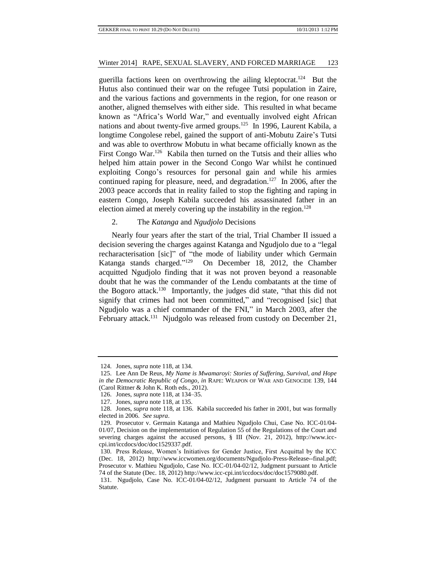guerilla factions keen on overthrowing the ailing kleptocrat.<sup>124</sup> But the Hutus also continued their war on the refugee Tutsi population in Zaire, and the various factions and governments in the region, for one reason or another, aligned themselves with either side. This resulted in what became known as "Africa's World War," and eventually involved eight African nations and about twenty-five armed groups.<sup>125</sup> In 1996, Laurent Kabila, a longtime Congolese rebel, gained the support of anti-Mobutu Zaire's Tutsi and was able to overthrow Mobutu in what became officially known as the First Congo War.<sup>126</sup> Kabila then turned on the Tutsis and their allies who helped him attain power in the Second Congo War whilst he continued exploiting Congo's resources for personal gain and while his armies continued raping for pleasure, need, and degradation.<sup>127</sup> In 2006, after the 2003 peace accords that in reality failed to stop the fighting and raping in eastern Congo, Joseph Kabila succeeded his assassinated father in an election aimed at merely covering up the instability in the region.<sup>128</sup>

## 2. The *Katanga* and *Ngudjolo* Decisions

Nearly four years after the start of the trial, Trial Chamber II issued a decision severing the charges against Katanga and Ngudjolo due to a "legal recharacterisation [sic]" of "the mode of liability under which Germain Katanga stands charged."<sup>129</sup> On December 18, 2012, the Chamber acquitted Ngudjolo finding that it was not proven beyond a reasonable doubt that he was the commander of the Lendu combatants at the time of the Bogoro attack.<sup>130</sup> Importantly, the judges did state, "that this did not signify that crimes had not been committed," and "recognised [sic] that Ngudjolo was a chief commander of the FNI," in March 2003, after the February attack.<sup>131</sup> Njudgolo was released from custody on December 21,

<sup>124.</sup> Jones, *supra* note 118, at 134.

<sup>125.</sup> Lee Ann De Reus, *My Name is Mwamaroyi: Stories of Suffering, Survival, and Hope in the Democratic Republic of Congo*, *in* RAPE: WEAPON OF WAR AND GENOCIDE 139, 144 (Carol Rittner & John K. Roth eds., 2012).

<sup>126.</sup> Jones, *supra* note 118, at 134–35.

<sup>127.</sup> Jones, *supra* note 118, at 135.

<sup>128.</sup> Jones, *supra* note 118, at 136. Kabila succeeded his father in 2001, but was formally elected in 2006. *See supra*.

<sup>129.</sup> Prosecutor v. Germain Katanga and Mathieu Ngudjolo Chui, Case No. ICC-01/04- 01/07, Decision on the implementation of Regulation 55 of the Regulations of the Court and severing charges against the accused persons, § III (Nov. 21, 2012), http://www.icccpi.int/iccdocs/doc/doc1529337.pdf.

<sup>130.</sup> Press Release, Women's Initiatives for Gender Justice, First Acquittal by the ICC (Dec. 18, 2012) http://www.iccwomen.org/documents/Ngudjolo-Press-Release--final.pdf; Prosecutor v. Mathieu Ngudjolo, Case No. ICC-01/04-02/12, Judgment pursuant to Article 74 of the Statute (Dec. 18, 2012) http://www.icc-cpi.int/iccdocs/doc/doc1579080.pdf.

<sup>131.</sup> Ngudjolo, Case No. ICC-01/04-02/12, Judgment pursuant to Article 74 of the Statute.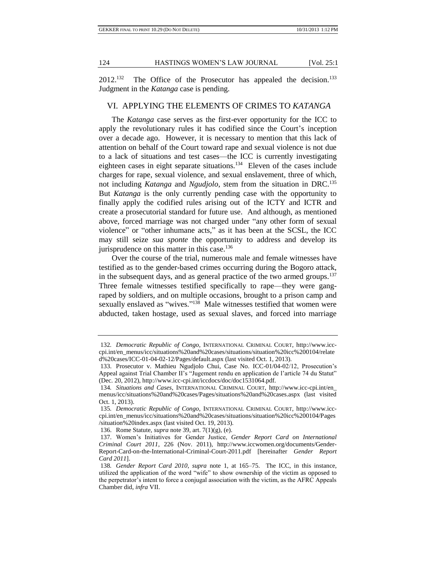$2012$ <sup>132</sup> The Office of the Prosecutor has appealed the decision.<sup>133</sup> Judgment in the *Katanga* case is pending.

## VI. APPLYING THE ELEMENTS OF CRIMES TO *KATANGA*

The *Katanga* case serves as the first-ever opportunity for the ICC to apply the revolutionary rules it has codified since the Court's inception over a decade ago. However, it is necessary to mention that this lack of attention on behalf of the Court toward rape and sexual violence is not due to a lack of situations and test cases—the ICC is currently investigating eighteen cases in eight separate situations.<sup>134</sup> Eleven of the cases include charges for rape, sexual violence, and sexual enslavement, three of which, not including *Katanga* and *Ngudjolo*, stem from the situation in DRC.<sup>135</sup> But *Katanga* is the only currently pending case with the opportunity to finally apply the codified rules arising out of the ICTY and ICTR and create a prosecutorial standard for future use. And although, as mentioned above, forced marriage was not charged under "any other form of sexual violence" or "other inhumane acts," as it has been at the SCSL, the ICC may still seize *sua sponte* the opportunity to address and develop its jurisprudence on this matter in this case.<sup>136</sup>

Over the course of the trial, numerous male and female witnesses have testified as to the gender-based crimes occurring during the Bogoro attack, in the subsequent days, and as general practice of the two armed groups.<sup>137</sup> Three female witnesses testified specifically to rape—they were gangraped by soldiers, and on multiple occasions, brought to a prison camp and sexually enslaved as "wives."<sup>138</sup> Male witnesses testified that women were abducted, taken hostage, used as sexual slaves, and forced into marriage

<sup>132</sup>*. Democratic Republic of Congo*, INTERNATIONAL CRIMINAL COURT, http://www.icccpi.int/en\_menus/icc/situations%20and%20cases/situations/situation%20icc%200104/relate d%20cases/ICC-01-04-02-12/Pages/default.aspx (last visited Oct. 1, 2013).

<sup>133.</sup> Prosecutor v. Mathieu Ngudjolo Chui, Case No. ICC-01/04-02/12, Prosecution's Appeal against Trial Chamber II's "Jugement rendu en application de l'article 74 du Statut" (Dec. 20, 2012), http://www.icc-cpi.int/iccdocs/doc/doc1531064.pdf.

<sup>134</sup>*. Situations and Cases*, INTERNATIONAL CRIMINAL COURT, http://www.icc-cpi.int/en\_ menus/icc/situations%20and%20cases/Pages/situations%20and%20cases.aspx (last visited Oct. 1, 2013).

<sup>135</sup>*. Democratic Republic of Congo*, INTERNATIONAL CRIMINAL COURT, http://www.icccpi.int/en\_menus/icc/situations%20and%20cases/situations/situation%20icc%200104/Pages /situation%20index.aspx (last visited Oct. 19, 2013).

<sup>136.</sup> Rome Statute, *supra* note 39, art. 7(1)(g), (e).

<sup>137.</sup> Women's Initiatives for Gender Justice, *Gender Report Card on International Criminal Court 2011*, 226 (Nov. 2011), http://www.iccwomen.org/documents/Gender-Report-Card-on-the-International-Criminal-Court-2011.pdf [hereinafter *Gender Report Card 2011*].

<sup>138</sup>*. Gender Report Card 2010*, *supra* note 1, at 165–75. The ICC, in this instance, utilized the application of the word "wife" to show ownership of the victim as opposed to the perpetrator's intent to force a conjugal association with the victim, as the AFRC Appeals Chamber did, *infra* VII.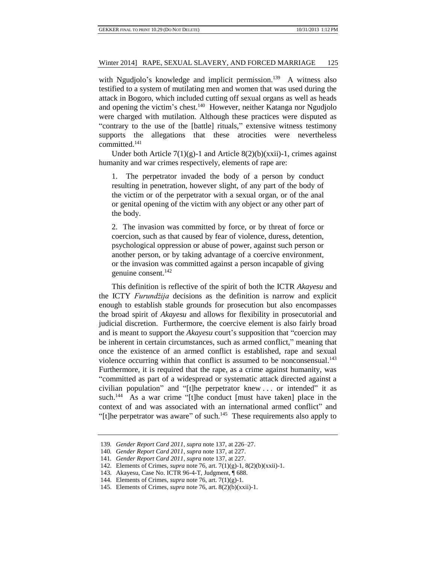with Ngudjolo's knowledge and implicit permission.<sup>139</sup> A witness also testified to a system of mutilating men and women that was used during the attack in Bogoro, which included cutting off sexual organs as well as heads and opening the victim's chest.<sup>140</sup> However, neither Katanga nor Ngudjolo were charged with mutilation. Although these practices were disputed as "contrary to the use of the [battle] rituals," extensive witness testimony supports the allegations that these atrocities were nevertheless committed.<sup>141</sup>

Under both Article 7(1)(g)-1 and Article 8(2)(b)(xxii)-1, crimes against humanity and war crimes respectively, elements of rape are:

1. The perpetrator invaded the body of a person by conduct resulting in penetration, however slight, of any part of the body of the victim or of the perpetrator with a sexual organ, or of the anal or genital opening of the victim with any object or any other part of the body.

2. The invasion was committed by force, or by threat of force or coercion, such as that caused by fear of violence, duress, detention, psychological oppression or abuse of power, against such person or another person, or by taking advantage of a coercive environment, or the invasion was committed against a person incapable of giving genuine consent.<sup>142</sup>

This definition is reflective of the spirit of both the ICTR *Akayesu* and the ICTY *Furundžija* decisions as the definition is narrow and explicit enough to establish stable grounds for prosecution but also encompasses the broad spirit of *Akayesu* and allows for flexibility in prosecutorial and judicial discretion. Furthermore, the coercive element is also fairly broad and is meant to support the *Akayesu* court's supposition that "coercion may be inherent in certain circumstances, such as armed conflict," meaning that once the existence of an armed conflict is established, rape and sexual violence occurring within that conflict is assumed to be nonconsensual.<sup>143</sup> Furthermore, it is required that the rape, as a crime against humanity, was "committed as part of a widespread or systematic attack directed against a civilian population" and "[t]he perpetrator knew . . . or intended" it as such.<sup>144</sup> As a war crime "[t]he conduct [must have taken] place in the context of and was associated with an international armed conflict" and "[t]he perpetrator was aware" of such. $145$  These requirements also apply to

<sup>139</sup>*. Gender Report Card 2011*, *supra* note 137, at 226–27.

<sup>140</sup>*. Gender Report Card 2011*, *supra* note 137, at 227.

<sup>141</sup>*. Gender Report Card 2011*, *supra* note 137, at 227.

<sup>142.</sup> Elements of Crimes, *supra* note 76, art. 7(1)(g)-1, 8(2)(b)(xxii)-1.

<sup>143.</sup> Akayesu, Case No. ICTR 96-4-T, Judgment, ¶ 688.

<sup>144.</sup> Elements of Crimes, *supra* note 76, art. 7(1)(g)-1.

<sup>145.</sup> Elements of Crimes, *supra* note 76, art. 8(2)(b)(xxii)-1.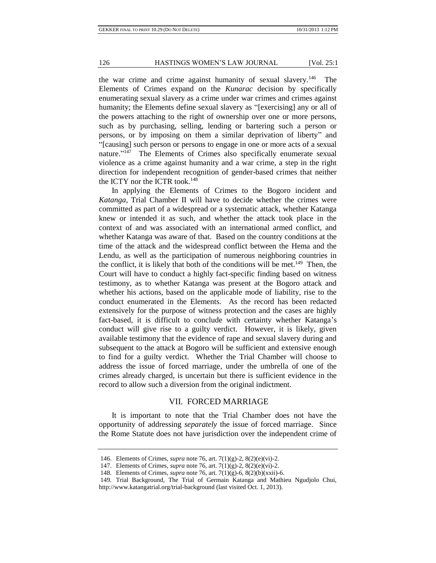the war crime and crime against humanity of sexual slavery.<sup>146</sup> The Elements of Crimes expand on the *Kunarac* decision by specifically enumerating sexual slavery as a crime under war crimes and crimes against humanity; the Elements define sexual slavery as "[exercising] any or all of the powers attaching to the right of ownership over one or more persons, such as by purchasing, selling, lending or bartering such a person or persons, or by imposing on them a similar deprivation of liberty" and "[causing] such person or persons to engage in one or more acts of a sexual nature."<sup>147</sup> The Elements of Crimes also specifically enumerate sexual violence as a crime against humanity and a war crime, a step in the right direction for independent recognition of gender-based crimes that neither the ICTY nor the ICTR took.<sup>148</sup>

In applying the Elements of Crimes to the Bogoro incident and *Katanga*, Trial Chamber II will have to decide whether the crimes were committed as part of a widespread or a systematic attack, whether Katanga knew or intended it as such, and whether the attack took place in the context of and was associated with an international armed conflict, and whether Katanga was aware of that. Based on the country conditions at the time of the attack and the widespread conflict between the Hema and the Lendu, as well as the participation of numerous neighboring countries in the conflict, it is likely that both of the conditions will be met.<sup>149</sup> Then, the Court will have to conduct a highly fact-specific finding based on witness testimony, as to whether Katanga was present at the Bogoro attack and whether his actions, based on the applicable mode of liability, rise to the conduct enumerated in the Elements. As the record has been redacted extensively for the purpose of witness protection and the cases are highly fact-based, it is difficult to conclude with certainty whether Katanga's conduct will give rise to a guilty verdict. However, it is likely, given available testimony that the evidence of rape and sexual slavery during and subsequent to the attack at Bogoro will be sufficient and extensive enough to find for a guilty verdict. Whether the Trial Chamber will choose to address the issue of forced marriage, under the umbrella of one of the crimes already charged, is uncertain but there is sufficient evidence in the record to allow such a diversion from the original indictment.

#### VII. FORCED MARRIAGE

It is important to note that the Trial Chamber does not have the opportunity of addressing *separately* the issue of forced marriage. Since the Rome Statute does not have jurisdiction over the independent crime of

<sup>146.</sup> Elements of Crimes, *supra* note 76, art. 7(1)(g)-2, 8(2)(e)(vi)-2.

<sup>147.</sup> Elements of Crimes, *supra* note 76, art. 7(1)(g)-2, 8(2)(e)(vi)-2.

<sup>148.</sup> Elements of Crimes, *supra* note 76, art. 7(1)(g)-6, 8(2)(b)(xxii)-6.

<sup>149.</sup> Trial Background, The Trial of Germain Katanga and Mathieu Ngudjolo Chui,

http://www.katangatrial.org/trial-background (last visited Oct. 1, 2013).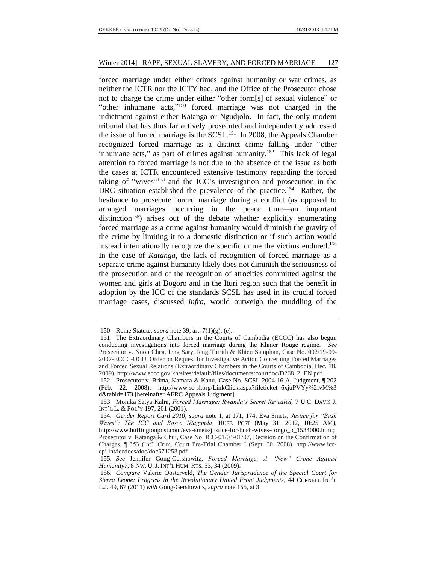forced marriage under either crimes against humanity or war crimes, as neither the ICTR nor the ICTY had, and the Office of the Prosecutor chose not to charge the crime under either "other form[s] of sexual violence" or "other inhumane acts,"<sup>150</sup> forced marriage was not charged in the indictment against either Katanga or Ngudjolo. In fact, the only modern tribunal that has thus far actively prosecuted and independently addressed the issue of forced marriage is the SCSL.<sup>151</sup> In 2008, the Appeals Chamber recognized forced marriage as a distinct crime falling under "other inhumane acts," as part of crimes against humanity.<sup>152</sup> This lack of legal attention to forced marriage is not due to the absence of the issue as both the cases at ICTR encountered extensive testimony regarding the forced taking of "wives" <sup>153</sup> and the ICC's investigation and prosecution in the DRC situation established the prevalence of the practice.<sup>154</sup> Rather, the hesitance to prosecute forced marriage during a conflict (as opposed to arranged marriages occurring in the peace time—an important distinction<sup>155</sup>) arises out of the debate whether explicitly enumerating forced marriage as a crime against humanity would diminish the gravity of the crime by limiting it to a domestic distinction or if such action would instead internationally recognize the specific crime the victims endured.<sup>156</sup> In the case of *Katanga*, the lack of recognition of forced marriage as a separate crime against humanity likely does not diminish the seriousness of the prosecution and of the recognition of atrocities committed against the women and girls at Bogoro and in the Ituri region such that the benefit in adoption by the ICC of the standards SCSL has used in its crucial forced marriage cases, discussed *infra*, would outweigh the muddling of the

<sup>150.</sup> Rome Statute, *supra* note 39, art. 7(1)(g), (e).

<sup>151.</sup> The Extraordinary Chambers in the Courts of Cambodia (ECCC) has also begun conducting investigations into forced marriage during the Khmer Rouge regime. *See* Prosecutor v. Nuon Chea, Ieng Sary, Ieng Thirith & Khieu Samphan, Case No. 002/19-09- 2007-ECCC-OCIJ, Order on Request for Investigative Action Concerning Forced Marriages and Forced Sexual Relations (Extraordinary Chambers in the Courts of Cambodia, Dec. 18, 2009), http://www.eccc.gov.kh/sites/default/files/documents/courtdoc/D268\_2\_EN.pdf.

<sup>152.</sup> Prosecutor v. Brima, Kamara & Kanu, Case No. SCSL-2004-16-A, Judgment, ¶ 202 (Feb. 22, 2008), http://www.sc-sl.org/LinkClick.aspx?fileticket=6xjuPVYy%2fvM%3 d&tabid=173 [hereinafter AFRC Appeals Judgment].

<sup>153.</sup> Monika Satya Kalra, *Forced Marriage: Rwanda's Secret Revealed,* 7 U.C. DAVIS J. INT'L L. & POL'Y 197, 201 (2001).

<sup>154</sup>*. Gender Report Card 2010*, *supra* note 1, at 171, 174; Eva Smets, *Justice for "Bush Wives": The ICC and Bosco Ntaganda*, HUFF. POST (May 31, 2012, 10:25 AM), http://www.huffingtonpost.com/eva-smets/justice-for-bush-wives-congo\_b\_1534000.html; Prosecutor v. Katanga & Chui, Case No. ICC-01/04-01/07, Decision on the Confirmation of Charges, ¶ 353 (Int'l Crim. Court Pre-Trial Chamber I (Sept. 30, 2008), http://www.icccpi.int/iccdocs/doc/doc571253.pdf.

<sup>155</sup>*. See* Jennifer Gong-Gershowitz, *Forced Marriage: A "New" Crime Against Humanity?*, 8 NW. U.J. INT'L HUM. RTS. 53, 34 (2009).

<sup>156</sup>*. Compare* Valerie Oosterveld, *The Gender Jurisprudence of the Special Court for Sierra Leone: Progress in the Revolutionary United Front Judgments*, 44 CORNELL INT'L L.J. 49, 67 (2011) *with* Gong-Gershowitz, *supra* note 155, at 3.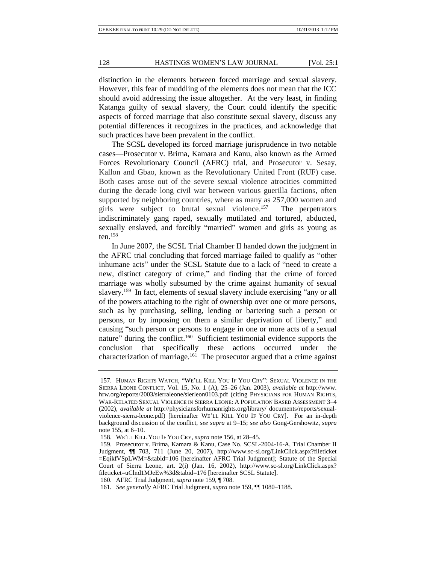distinction in the elements between forced marriage and sexual slavery. However, this fear of muddling of the elements does not mean that the ICC should avoid addressing the issue altogether. At the very least, in finding Katanga guilty of sexual slavery, the Court could identify the specific aspects of forced marriage that also constitute sexual slavery, discuss any potential differences it recognizes in the practices, and acknowledge that such practices have been prevalent in the conflict.

The SCSL developed its forced marriage jurisprudence in two notable cases—Prosecutor v. Brima, Kamara and Kanu, also known as the Armed Forces Revolutionary Council (AFRC) trial, and Prosecutor v. Sesay, Kallon and Gbao, known as the Revolutionary United Front (RUF) case. Both cases arose out of the severe sexual violence atrocities committed during the decade long civil war between various guerilla factions, often supported by neighboring countries, where as many as 257,000 women and girls were subject to brutal sexual violence.<sup>157</sup> The perpetrators indiscriminately gang raped, sexually mutilated and tortured, abducted, sexually enslaved, and forcibly "married" women and girls as young as  $ten.<sup>158</sup>$ 

In June 2007, the SCSL Trial Chamber II handed down the judgment in the AFRC trial concluding that forced marriage failed to qualify as "other inhumane acts" under the SCSL Statute due to a lack of "need to create a new, distinct category of crime," and finding that the crime of forced marriage was wholly subsumed by the crime against humanity of sexual slavery.<sup>159</sup> In fact, elements of sexual slavery include exercising "any or all of the powers attaching to the right of ownership over one or more persons, such as by purchasing, selling, lending or bartering such a person or persons, or by imposing on them a similar deprivation of liberty," and causing "such person or persons to engage in one or more acts of a sexual nature" during the conflict.<sup>160</sup> Sufficient testimonial evidence supports the conclusion that specifically these actions occurred under the characterization of marriage.<sup>161</sup> The prosecutor argued that a crime against

<sup>157.</sup> HUMAN RIGHTS WATCH, "WE'LL KILL YOU IF YOU CRY": SEXUAL VIOLENCE IN THE SIERRA LEONE CONFLICT, Vol. 15, No. 1 (A), 25–26 (Jan. 2003), *available at* http://www. hrw.org/reports/2003/sierraleone/sierleon0103.pdf (citing PHYSICIANS FOR HUMAN RIGHTS, WAR-RELATED SEXUAL VIOLENCE IN SIERRA LEONE: A POPULATION BASED ASSESSMENT 3–4 (2002), *available at* http://physiciansforhumanrights.org/library/ documents/reports/sexualviolence-sierra-leone.pdf) [hereinafter WE'LL KILL YOU IF YOU CRY]. For an in-depth background discussion of the conflict, *see supra* at 9–15; *see also* Gong-Gershowitz, *supra* note 155, at 6–10.

<sup>158.</sup> WE'LL KILL YOU IF YOU CRY, *supra* note 156, at 28–45.

<sup>159.</sup> Prosecutor v. Brima, Kamara & Kanu, Case No. SCSL-2004-16-A, Trial Chamber II Judgment, ¶¶ 703, 711 (June 20, 2007), http://www.sc-sl.org/LinkClick.aspx?fileticket =EqikfVSpLWM=&tabid=106 [hereinafter AFRC Trial Judgment]; Statute of the Special Court of Sierra Leone, art. 2(i) (Jan. 16, 2002), http://www.sc-sl.org/LinkClick.aspx? fileticket=uClnd1MJeEw%3d&tabid=176 [hereinafter SCSL Statute].

<sup>160.</sup> AFRC Trial Judgment, *supra* note 159, ¶ 708.

<sup>161</sup>*. See generally* AFRC Trial Judgment, *supra* note 159, ¶¶ 1080–1188.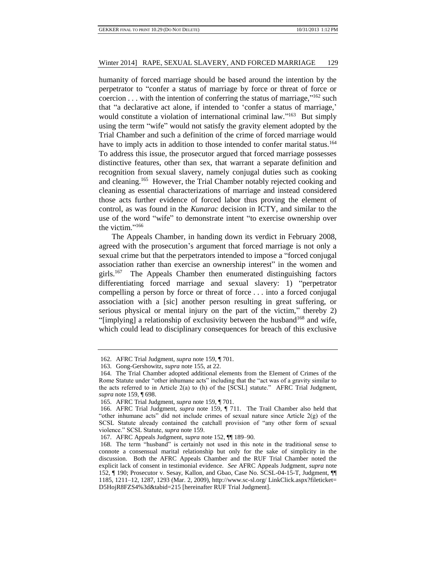humanity of forced marriage should be based around the intention by the perpetrator to "confer a status of marriage by force or threat of force or coercion  $\dots$  with the intention of conferring the status of marriage," $162$  such that "a declarative act alone, if intended to 'confer a status of marriage,' would constitute a violation of international criminal law."<sup>163</sup> But simply using the term "wife" would not satisfy the gravity element adopted by the Trial Chamber and such a definition of the crime of forced marriage would have to imply acts in addition to those intended to confer marital status.<sup>164</sup> To address this issue, the prosecutor argued that forced marriage possesses distinctive features, other than sex, that warrant a separate definition and recognition from sexual slavery, namely conjugal duties such as cooking and cleaning.<sup>165</sup> However, the Trial Chamber notably rejected cooking and cleaning as essential characterizations of marriage and instead considered those acts further evidence of forced labor thus proving the element of control, as was found in the *Kunarac* decision in ICTY, and similar to the use of the word "wife" to demonstrate intent "to exercise ownership over the victim." 166

The Appeals Chamber, in handing down its verdict in February 2008, agreed with the prosecution's argument that forced marriage is not only a sexual crime but that the perpetrators intended to impose a "forced conjugal association rather than exercise an ownership interest" in the women and girls.<sup>167</sup> The Appeals Chamber then enumerated distinguishing factors differentiating forced marriage and sexual slavery: 1) "perpetrator compelling a person by force or threat of force . . . into a forced conjugal association with a [sic] another person resulting in great suffering, or serious physical or mental injury on the part of the victim," thereby 2) "[implying] a relationship of exclusivity between the husband<sup>168</sup> and wife, which could lead to disciplinary consequences for breach of this exclusive

<sup>162.</sup> AFRC Trial Judgment, *supra* note 159, ¶ 701.

<sup>163.</sup> Gong-Gershowitz, *supra* note 155, at 22.

<sup>164.</sup> The Trial Chamber adopted additional elements from the Element of Crimes of the Rome Statute under "other inhumane acts" including that the "act was of a gravity similar to the acts referred to in Article 2(a) to (h) of the [SCSL] statute." AFRC Trial Judgment, *supra* note 159, ¶ 698.

<sup>165.</sup> AFRC Trial Judgment, *supra* note 159, ¶ 701.

<sup>166.</sup> AFRC Trial Judgment, *supra* note 159, ¶ 711. The Trail Chamber also held that "other inhumane acts" did not include crimes of sexual nature since Article 2(g) of the SCSL Statute already contained the catchall provision of "any other form of sexual violence." SCSL Statute, *supra* note 159.

<sup>167.</sup> AFRC Appeals Judgment, *supra* note 152, ¶¶ 189–90.

<sup>168.</sup> The term "husband" is certainly not used in this note in the traditional sense to connote a consensual marital relationship but only for the sake of simplicity in the discussion. Both the AFRC Appeals Chamber and the RUF Trial Chamber noted the explicit lack of consent in testimonial evidence. *See* AFRC Appeals Judgment, *supra* note 152, ¶ 190; Prosecutor v. Sesay, Kallon, and Gbao, Case No. SCSL-04-15-T, Judgment, ¶¶ 1185, 1211–12, 1287, 1293 (Mar. 2, 2009), http://www.sc-sl.org/ LinkClick.aspx?fileticket= D5HojR8FZS4%3d&tabid=215 [hereinafter RUF Trial Judgment].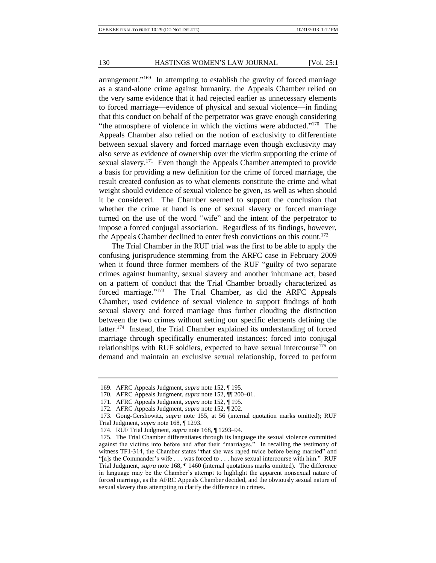arrangement."<sup>169</sup> In attempting to establish the gravity of forced marriage as a stand-alone crime against humanity, the Appeals Chamber relied on the very same evidence that it had rejected earlier as unnecessary elements to forced marriage—evidence of physical and sexual violence—in finding that this conduct on behalf of the perpetrator was grave enough considering "the atmosphere of violence in which the victims were abducted."<sup>170</sup> The Appeals Chamber also relied on the notion of exclusivity to differentiate between sexual slavery and forced marriage even though exclusivity may also serve as evidence of ownership over the victim supporting the crime of sexual slavery.<sup>171</sup> Even though the Appeals Chamber attempted to provide a basis for providing a new definition for the crime of forced marriage, the result created confusion as to what elements constitute the crime and what weight should evidence of sexual violence be given, as well as when should it be considered. The Chamber seemed to support the conclusion that whether the crime at hand is one of sexual slavery or forced marriage turned on the use of the word "wife" and the intent of the perpetrator to impose a forced conjugal association. Regardless of its findings, however, the Appeals Chamber declined to enter fresh convictions on this count.<sup>172</sup>

The Trial Chamber in the RUF trial was the first to be able to apply the confusing jurisprudence stemming from the ARFC case in February 2009 when it found three former members of the RUF "guilty of two separate crimes against humanity, sexual slavery and another inhumane act, based on a pattern of conduct that the Trial Chamber broadly characterized as forced marriage."<sup>173</sup> The Trial Chamber, as did the ARFC Appeals Chamber, used evidence of sexual violence to support findings of both sexual slavery and forced marriage thus further clouding the distinction between the two crimes without setting our specific elements defining the latter.<sup>174</sup> Instead, the Trial Chamber explained its understanding of forced marriage through specifically enumerated instances: forced into conjugal relationships with RUF soldiers, expected to have sexual intercourse<sup>175</sup> on demand and maintain an exclusive sexual relationship, forced to perform

<sup>169.</sup> AFRC Appeals Judgment, *supra* note 152, ¶ 195.

<sup>170.</sup> AFRC Appeals Judgment, *supra* note 152, ¶¶ 200–01.

<sup>171.</sup> AFRC Appeals Judgment, *supra* note 152, ¶ 195.

<sup>172.</sup> AFRC Appeals Judgment, *supra* note 152, ¶ 202.

<sup>173.</sup> Gong-Gershowitz, *supra* note 155, at 56 (internal quotation marks omitted); RUF Trial Judgment, *supra* note 168, ¶ 1293.

<sup>174.</sup> RUF Trial Judgment, *supra* note 168, ¶ 1293–94.

<sup>175.</sup> The Trial Chamber differentiates through its language the sexual violence committed against the victims into before and after their "marriages." In recalling the testimony of witness TF1-314, the Chamber states "that she was raped twice before being married" and "[a]s the Commander's wife . . . was forced to . . . have sexual intercourse with him." RUF Trial Judgment, *supra* note 168, ¶ 1460 (internal quotations marks omitted). The difference in language may be the Chamber's attempt to highlight the apparent nonsexual nature of forced marriage, as the AFRC Appeals Chamber decided, and the obviously sexual nature of sexual slavery thus attempting to clarify the difference in crimes.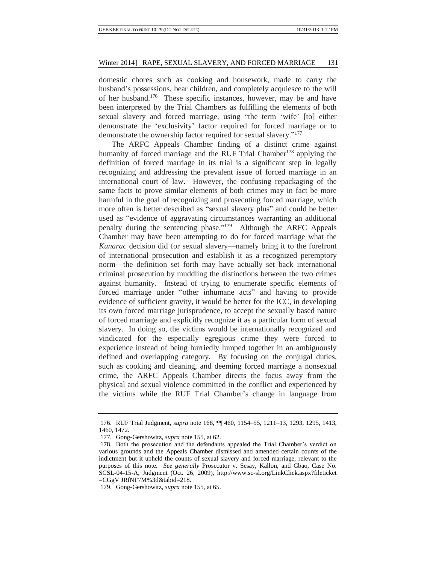domestic chores such as cooking and housework, made to carry the husband's possessions, bear children, and completely acquiesce to the will of her husband.<sup>176</sup> These specific instances, however, may be and have been interpreted by the Trial Chambers as fulfilling the elements of both sexual slavery and forced marriage, using "the term 'wife' [to] either demonstrate the 'exclusivity' factor required for forced marriage or to demonstrate the ownership factor required for sexual slavery." 177

The ARFC Appeals Chamber finding of a distinct crime against humanity of forced marriage and the RUF Trial Chamber<sup>178</sup> applying the definition of forced marriage in its trial is a significant step in legally recognizing and addressing the prevalent issue of forced marriage in an international court of law. However, the confusing repackaging of the same facts to prove similar elements of both crimes may in fact be more harmful in the goal of recognizing and prosecuting forced marriage, which more often is better described as "sexual slavery plus" and could be better used as "evidence of aggravating circumstances warranting an additional penalty during the sentencing phase." <sup>179</sup> Although the ARFC Appeals Chamber may have been attempting to do for forced marriage what the *Kunarac* decision did for sexual slavery—namely bring it to the forefront of international prosecution and establish it as a recognized peremptory norm—the definition set forth may have actually set back international criminal prosecution by muddling the distinctions between the two crimes against humanity. Instead of trying to enumerate specific elements of forced marriage under "other inhumane acts" and having to provide evidence of sufficient gravity, it would be better for the ICC, in developing its own forced marriage jurisprudence, to accept the sexually based nature of forced marriage and explicitly recognize it as a particular form of sexual slavery. In doing so, the victims would be internationally recognized and vindicated for the especially egregious crime they were forced to experience instead of being hurriedly lumped together in an ambiguously defined and overlapping category. By focusing on the conjugal duties, such as cooking and cleaning, and deeming forced marriage a nonsexual crime, the ARFC Appeals Chamber directs the focus away from the physical and sexual violence committed in the conflict and experienced by the victims while the RUF Trial Chamber's change in language from

<sup>176.</sup> RUF Trial Judgment, *supra* note 168, ¶¶ 460, 1154–55, 1211–13, 1293, 1295, 1413, 1460, 1472.

<sup>177.</sup> Gong-Gershowitz, *supra* note 155, at 62.

<sup>178.</sup> Both the prosecution and the defendants appealed the Trial Chamber's verdict on various grounds and the Appeals Chamber dismissed and amended certain counts of the indictment but it upheld the counts of sexual slavery and forced marriage, relevant to the purposes of this note. *See generally* Prosecutor v. Sesay, Kallon, and Gbao, Case No. SCSL-04-15-A, Judgment (Oct. 26, 2009), http://www.sc-sl.org/LinkClick.aspx?fileticket =CGgV JRfNF7M%3d&tabid=218.

<sup>179.</sup> Gong-Gershowitz, *supra* note 155, at 65.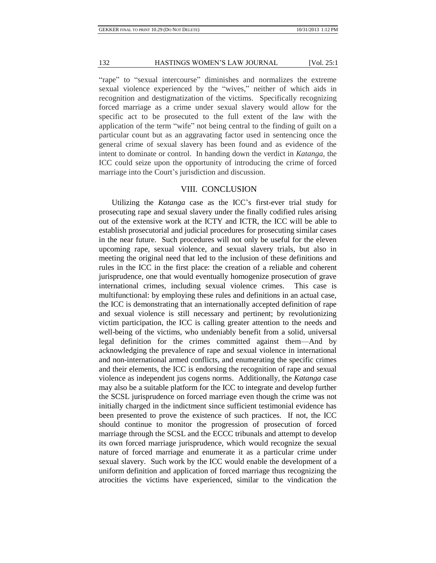"rape" to "sexual intercourse" diminishes and normalizes the extreme sexual violence experienced by the "wives," neither of which aids in recognition and destigmatization of the victims. Specifically recognizing forced marriage as a crime under sexual slavery would allow for the specific act to be prosecuted to the full extent of the law with the application of the term "wife" not being central to the finding of guilt on a particular count but as an aggravating factor used in sentencing once the general crime of sexual slavery has been found and as evidence of the intent to dominate or control. In handing down the verdict in *Katanga*, the ICC could seize upon the opportunity of introducing the crime of forced marriage into the Court's jurisdiction and discussion.

## VIII. CONCLUSION

Utilizing the *Katanga* case as the ICC's first-ever trial study for prosecuting rape and sexual slavery under the finally codified rules arising out of the extensive work at the ICTY and ICTR, the ICC will be able to establish prosecutorial and judicial procedures for prosecuting similar cases in the near future. Such procedures will not only be useful for the eleven upcoming rape, sexual violence, and sexual slavery trials, but also in meeting the original need that led to the inclusion of these definitions and rules in the ICC in the first place: the creation of a reliable and coherent jurisprudence, one that would eventually homogenize prosecution of grave international crimes, including sexual violence crimes. This case is multifunctional: by employing these rules and definitions in an actual case, the ICC is demonstrating that an internationally accepted definition of rape and sexual violence is still necessary and pertinent; by revolutionizing victim participation, the ICC is calling greater attention to the needs and well-being of the victims, who undeniably benefit from a solid, universal legal definition for the crimes committed against them—And by acknowledging the prevalence of rape and sexual violence in international and non-international armed conflicts, and enumerating the specific crimes and their elements, the ICC is endorsing the recognition of rape and sexual violence as independent jus cogens norms. Additionally, the *Katanga* case may also be a suitable platform for the ICC to integrate and develop further the SCSL jurisprudence on forced marriage even though the crime was not initially charged in the indictment since sufficient testimonial evidence has been presented to prove the existence of such practices. If not, the ICC should continue to monitor the progression of prosecution of forced marriage through the SCSL and the ECCC tribunals and attempt to develop its own forced marriage jurisprudence, which would recognize the sexual nature of forced marriage and enumerate it as a particular crime under sexual slavery. Such work by the ICC would enable the development of a uniform definition and application of forced marriage thus recognizing the atrocities the victims have experienced, similar to the vindication the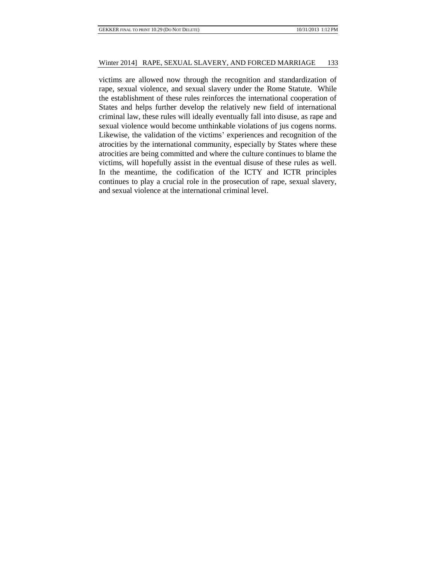victims are allowed now through the recognition and standardization of rape, sexual violence, and sexual slavery under the Rome Statute. While the establishment of these rules reinforces the international cooperation of States and helps further develop the relatively new field of international criminal law, these rules will ideally eventually fall into disuse, as rape and sexual violence would become unthinkable violations of jus cogens norms. Likewise, the validation of the victims' experiences and recognition of the atrocities by the international community, especially by States where these atrocities are being committed and where the culture continues to blame the victims, will hopefully assist in the eventual disuse of these rules as well. In the meantime, the codification of the ICTY and ICTR principles continues to play a crucial role in the prosecution of rape, sexual slavery, and sexual violence at the international criminal level.